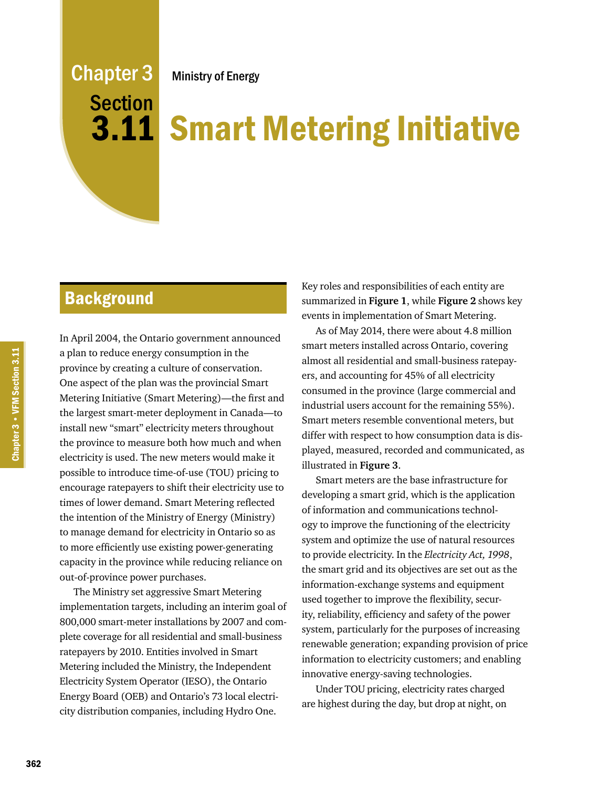## Ministry of Energy

# Chapter 3 Section 3.11

# Smart Metering Initiative

# **Background**

In April 2004, the Ontario government announced a plan to reduce energy consumption in the province by creating a culture of conservation. One aspect of the plan was the provincial Smart Metering Initiative (Smart Metering)—the first and the largest smart-meter deployment in Canada—to install new "smart" electricity meters throughout the province to measure both how much and when electricity is used. The new meters would make it possible to introduce time-of-use (TOU) pricing to encourage ratepayers to shift their electricity use to times of lower demand. Smart Metering reflected the intention of the Ministry of Energy (Ministry) to manage demand for electricity in Ontario so as to more efficiently use existing power-generating capacity in the province while reducing reliance on out-of-province power purchases.

The Ministry set aggressive Smart Metering implementation targets, including an interim goal of 800,000 smart-meter installations by 2007 and complete coverage for all residential and small-business ratepayers by 2010. Entities involved in Smart Metering included the Ministry, the Independent Electricity System Operator (IESO), the Ontario Energy Board (OEB) and Ontario's 73 local electricity distribution companies, including Hydro One.

Key roles and responsibilities of each entity are summarized in **Figure 1**, while **Figure 2** shows key events in implementation of Smart Metering.

As of May 2014, there were about 4.8 million smart meters installed across Ontario, covering almost all residential and small-business ratepayers, and accounting for 45% of all electricity consumed in the province (large commercial and industrial users account for the remaining 55%). Smart meters resemble conventional meters, but differ with respect to how consumption data is displayed, measured, recorded and communicated, as illustrated in **Figure 3**.

Smart meters are the base infrastructure for developing a smart grid, which is the application of information and communications technology to improve the functioning of the electricity system and optimize the use of natural resources to provide electricity. In the *Electricity Act, 1998*, the smart grid and its objectives are set out as the information-exchange systems and equipment used together to improve the flexibility, security, reliability, efficiency and safety of the power system, particularly for the purposes of increasing renewable generation; expanding provision of price information to electricity customers; and enabling innovative energy-saving technologies.

Under TOU pricing, electricity rates charged are highest during the day, but drop at night, on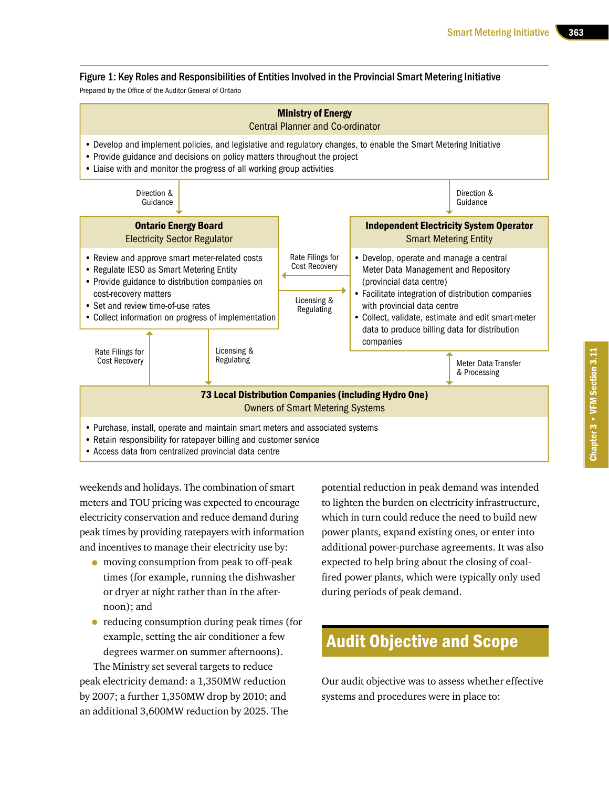#### Figure 1: Key Roles and Responsibilities of Entities Involved in the Provincial Smart Metering Initiative

Prepared by the Office of the Auditor General of Ontario



weekends and holidays. The combination of smart meters and TOU pricing was expected to encourage electricity conservation and reduce demand during peak times by providing ratepayers with information and incentives to manage their electricity use by:

- moving consumption from peak to off-peak times (for example, running the dishwasher or dryer at night rather than in the afternoon); and
- reducing consumption during peak times (for example, setting the air conditioner a few degrees warmer on summer afternoons).

The Ministry set several targets to reduce peak electricity demand: a 1,350MW reduction by 2007; a further 1,350MW drop by 2010; and an additional 3,600MW reduction by 2025. The

potential reduction in peak demand was intended to lighten the burden on electricity infrastructure, which in turn could reduce the need to build new power plants, expand existing ones, or enter into additional power-purchase agreements. It was also expected to help bring about the closing of coalfired power plants, which were typically only used during periods of peak demand.

# Audit Objective and Scope

Our audit objective was to assess whether effective systems and procedures were in place to: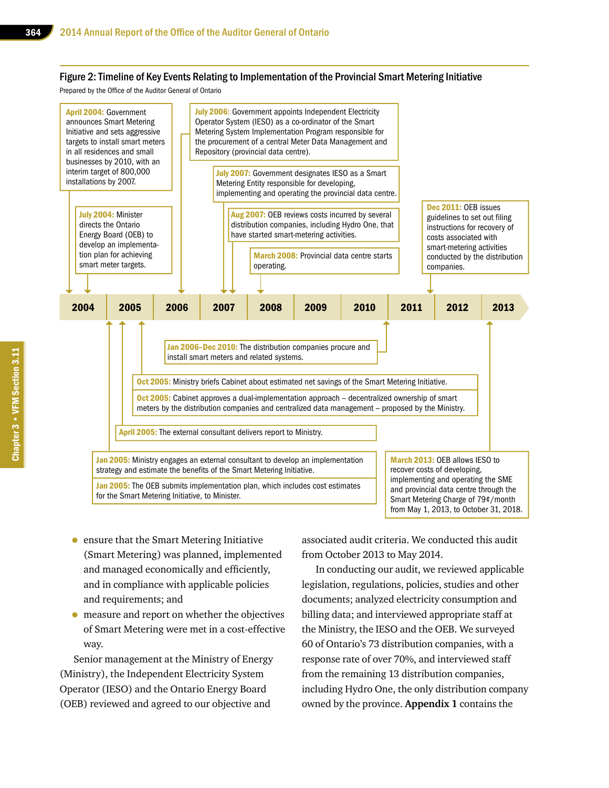#### Figure 2: Timeline of Key Events Relating to Implementation of the Provincial Smart Metering Initiative

Prepared by the Office of the Auditor General of Ontario



- ensure that the Smart Metering Initiative (Smart Metering) was planned, implemented and managed economically and efficiently, and in compliance with applicable policies and requirements; and
- measure and report on whether the objectives of Smart Metering were met in a cost-effective way.

Senior management at the Ministry of Energy (Ministry), the Independent Electricity System Operator (IESO) and the Ontario Energy Board (OEB) reviewed and agreed to our objective and

associated audit criteria. We conducted this audit from October 2013 to May 2014.

In conducting our audit, we reviewed applicable legislation, regulations, policies, studies and other documents; analyzed electricity consumption and billing data; and interviewed appropriate staff at the Ministry, the IESO and the OEB. We surveyed 60 of Ontario's 73 distribution companies, with a response rate of over 70%, and interviewed staff from the remaining 13 distribution companies, including Hydro One, the only distribution company owned by the province. **Appendix 1** contains the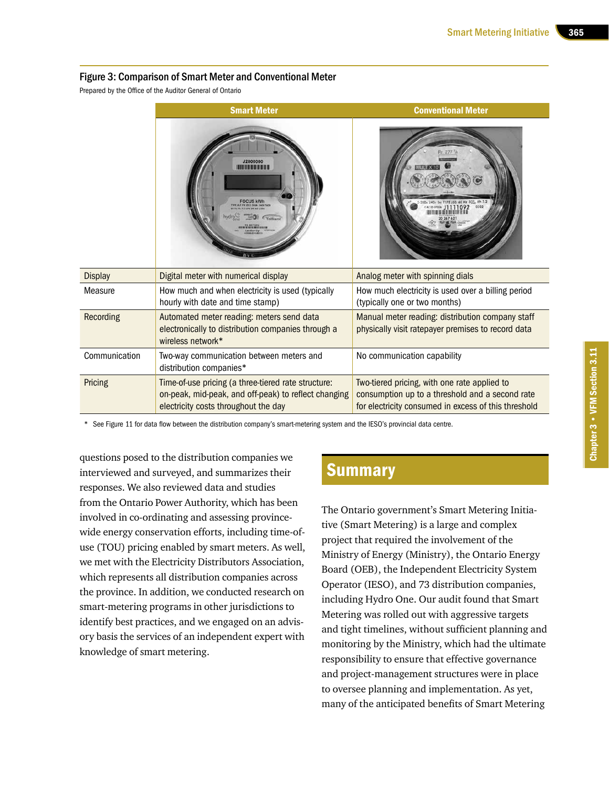#### Figure 3: Comparison of Smart Meter and Conventional Meter

Prepared by the Office of the Auditor General of Ontario

|                  | <b>Smart Meter</b>                                                                                                                                  | <b>Conventional Meter</b>                                                                                                                               |
|------------------|-----------------------------------------------------------------------------------------------------------------------------------------------------|---------------------------------------------------------------------------------------------------------------------------------------------------------|
|                  | <b>J2000000</b><br>Trilliant                                                                                                                        |                                                                                                                                                         |
| <b>Display</b>   | Digital meter with numerical display                                                                                                                | Analog meter with spinning dials                                                                                                                        |
| Measure          | How much and when electricity is used (typically<br>hourly with date and time stamp)                                                                | How much electricity is used over a billing period<br>(typically one or two months)                                                                     |
| <b>Recording</b> | Automated meter reading: meters send data<br>electronically to distribution companies through a<br>wireless network*                                | Manual meter reading: distribution company staff<br>physically visit ratepayer premises to record data                                                  |
| Communication    | Two-way communication between meters and<br>distribution companies*                                                                                 | No communication capability                                                                                                                             |
| Pricing          | Time-of-use pricing (a three-tiered rate structure:<br>on-peak, mid-peak, and off-peak) to reflect changing<br>electricity costs throughout the day | Two-tiered pricing, with one rate applied to<br>consumption up to a threshold and a second rate<br>for electricity consumed in excess of this threshold |

See Figure 11 for data flow between the distribution company's smart-metering system and the IESO's provincial data centre.

questions posed to the distribution companies we interviewed and surveyed, and summarizes their responses. We also reviewed data and studies from the Ontario Power Authority, which has been involved in co-ordinating and assessing provincewide energy conservation efforts, including time-ofuse (TOU) pricing enabled by smart meters. As well, we met with the Electricity Distributors Association, which represents all distribution companies across the province. In addition, we conducted research on smart-metering programs in other jurisdictions to identify best practices, and we engaged on an advisory basis the services of an independent expert with knowledge of smart metering.

# **Summary**

The Ontario government's Smart Metering Initiative (Smart Metering) is a large and complex project that required the involvement of the Ministry of Energy (Ministry), the Ontario Energy Board (OEB), the Independent Electricity System Operator (IESO), and 73 distribution companies, including Hydro One. Our audit found that Smart Metering was rolled out with aggressive targets and tight timelines, without sufficient planning and monitoring by the Ministry, which had the ultimate responsibility to ensure that effective governance and project-management structures were in place to oversee planning and implementation. As yet, many of the anticipated benefits of Smart Metering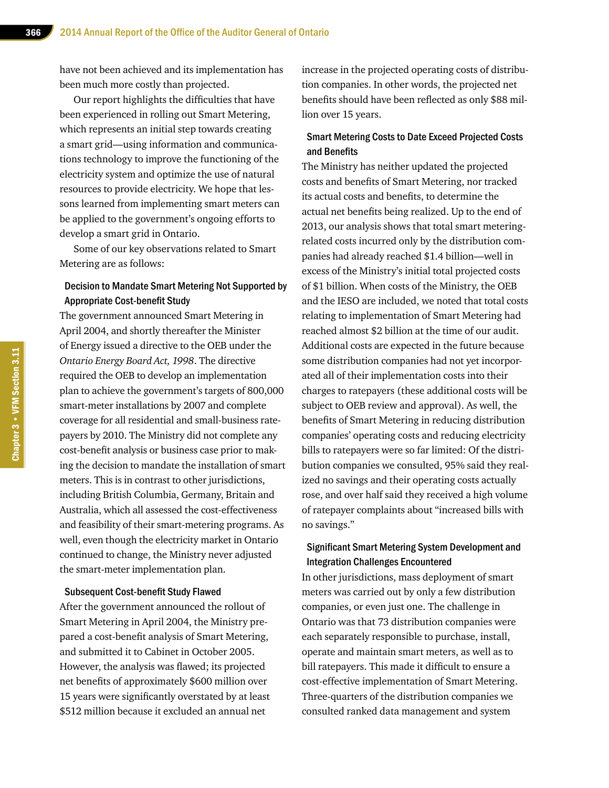have not been achieved and its implementation has been much more costly than projected.

Our report highlights the difficulties that have been experienced in rolling out Smart Metering, which represents an initial step towards creating a smart grid—using information and communications technology to improve the functioning of the electricity system and optimize the use of natural resources to provide electricity. We hope that lessons learned from implementing smart meters can be applied to the government's ongoing efforts to develop a smart grid in Ontario.

Some of our key observations related to Smart Metering are as follows:

#### Decision to Mandate Smart Metering Not Supported by Appropriate Cost-benefit Study

The government announced Smart Metering in April 2004, and shortly thereafter the Minister of Energy issued a directive to the OEB under the *Ontario Energy Board Act, 1998*. The directive required the OEB to develop an implementation plan to achieve the government's targets of 800,000 smart-meter installations by 2007 and complete coverage for all residential and small-business ratepayers by 2010. The Ministry did not complete any cost-benefit analysis or business case prior to making the decision to mandate the installation of smart meters. This is in contrast to other jurisdictions, including British Columbia, Germany, Britain and Australia, which all assessed the cost-effectiveness and feasibility of their smart-metering programs. As well, even though the electricity market in Ontario continued to change, the Ministry never adjusted the smart-meter implementation plan.

#### Subsequent Cost-benefit Study Flawed

After the government announced the rollout of Smart Metering in April 2004, the Ministry prepared a cost-benefit analysis of Smart Metering, and submitted it to Cabinet in October 2005. However, the analysis was flawed; its projected net benefits of approximately \$600 million over 15 years were significantly overstated by at least \$512 million because it excluded an annual net

increase in the projected operating costs of distribution companies. In other words, the projected net benefits should have been reflected as only \$88 million over 15 years.

#### Smart Metering Costs to Date Exceed Projected Costs and Benefits

The Ministry has neither updated the projected costs and benefits of Smart Metering, nor tracked its actual costs and benefits, to determine the actual net benefits being realized. Up to the end of 2013, our analysis shows that total smart meteringrelated costs incurred only by the distribution companies had already reached \$1.4 billion—well in excess of the Ministry's initial total projected costs of \$1 billion. When costs of the Ministry, the OEB and the IESO are included, we noted that total costs relating to implementation of Smart Metering had reached almost \$2 billion at the time of our audit. Additional costs are expected in the future because some distribution companies had not yet incorporated all of their implementation costs into their charges to ratepayers (these additional costs will be subject to OEB review and approval). As well, the benefits of Smart Metering in reducing distribution companies' operating costs and reducing electricity bills to ratepayers were so far limited: Of the distribution companies we consulted, 95% said they realized no savings and their operating costs actually rose, and over half said they received a high volume of ratepayer complaints about "increased bills with no savings."

#### Significant Smart Metering System Development and Integration Challenges Encountered

In other jurisdictions, mass deployment of smart meters was carried out by only a few distribution companies, or even just one. The challenge in Ontario was that 73 distribution companies were each separately responsible to purchase, install, operate and maintain smart meters, as well as to bill ratepayers. This made it difficult to ensure a cost-effective implementation of Smart Metering. Three-quarters of the distribution companies we consulted ranked data management and system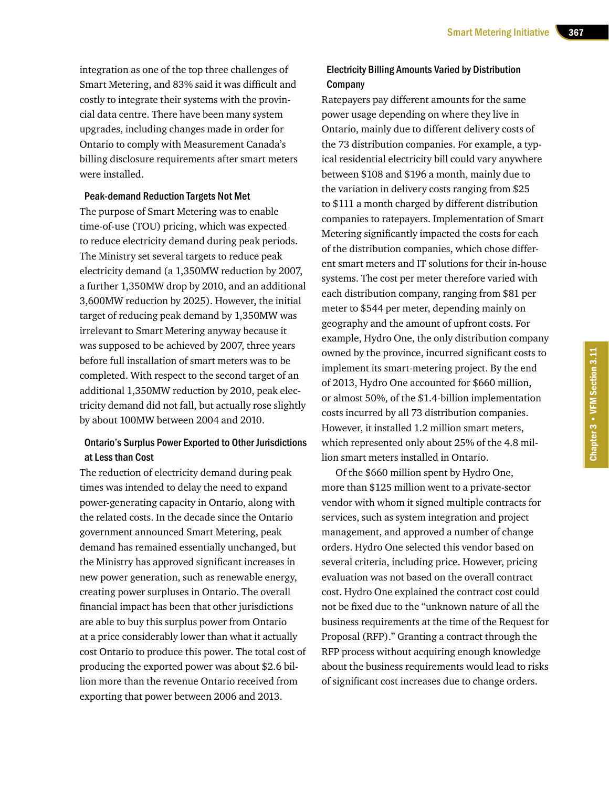integration as one of the top three challenges of Smart Metering, and 83% said it was difficult and costly to integrate their systems with the provincial data centre. There have been many system upgrades, including changes made in order for Ontario to comply with Measurement Canada's billing disclosure requirements after smart meters were installed.

#### Peak-demand Reduction Targets Not Met

The purpose of Smart Metering was to enable time-of-use (TOU) pricing, which was expected to reduce electricity demand during peak periods. The Ministry set several targets to reduce peak electricity demand (a 1,350MW reduction by 2007, a further 1,350MW drop by 2010, and an additional 3,600MW reduction by 2025). However, the initial target of reducing peak demand by 1,350MW was irrelevant to Smart Metering anyway because it was supposed to be achieved by 2007, three years before full installation of smart meters was to be completed. With respect to the second target of an additional 1,350MW reduction by 2010, peak electricity demand did not fall, but actually rose slightly by about 100MW between 2004 and 2010.

#### Ontario's Surplus Power Exported to Other Jurisdictions at Less than Cost

The reduction of electricity demand during peak times was intended to delay the need to expand power-generating capacity in Ontario, along with the related costs. In the decade since the Ontario government announced Smart Metering, peak demand has remained essentially unchanged, but the Ministry has approved significant increases in new power generation, such as renewable energy, creating power surpluses in Ontario. The overall financial impact has been that other jurisdictions are able to buy this surplus power from Ontario at a price considerably lower than what it actually cost Ontario to produce this power. The total cost of producing the exported power was about \$2.6 billion more than the revenue Ontario received from exporting that power between 2006 and 2013.

#### Electricity Billing Amounts Varied by Distribution **Company**

Ratepayers pay different amounts for the same power usage depending on where they live in Ontario, mainly due to different delivery costs of the 73 distribution companies. For example, a typical residential electricity bill could vary anywhere between \$108 and \$196 a month, mainly due to the variation in delivery costs ranging from \$25 to \$111 a month charged by different distribution companies to ratepayers. Implementation of Smart Metering significantly impacted the costs for each of the distribution companies, which chose different smart meters and IT solutions for their in-house systems. The cost per meter therefore varied with each distribution company, ranging from \$81 per meter to \$544 per meter, depending mainly on geography and the amount of upfront costs. For example, Hydro One, the only distribution company owned by the province, incurred significant costs to implement its smart-metering project. By the end of 2013, Hydro One accounted for \$660 million, or almost 50%, of the \$1.4-billion implementation costs incurred by all 73 distribution companies. However, it installed 1.2 million smart meters, which represented only about 25% of the 4.8 million smart meters installed in Ontario.

Of the \$660 million spent by Hydro One, more than \$125 million went to a private-sector vendor with whom it signed multiple contracts for services, such as system integration and project management, and approved a number of change orders. Hydro One selected this vendor based on several criteria, including price. However, pricing evaluation was not based on the overall contract cost. Hydro One explained the contract cost could not be fixed due to the "unknown nature of all the business requirements at the time of the Request for Proposal (RFP)." Granting a contract through the RFP process without acquiring enough knowledge about the business requirements would lead to risks of significant cost increases due to change orders.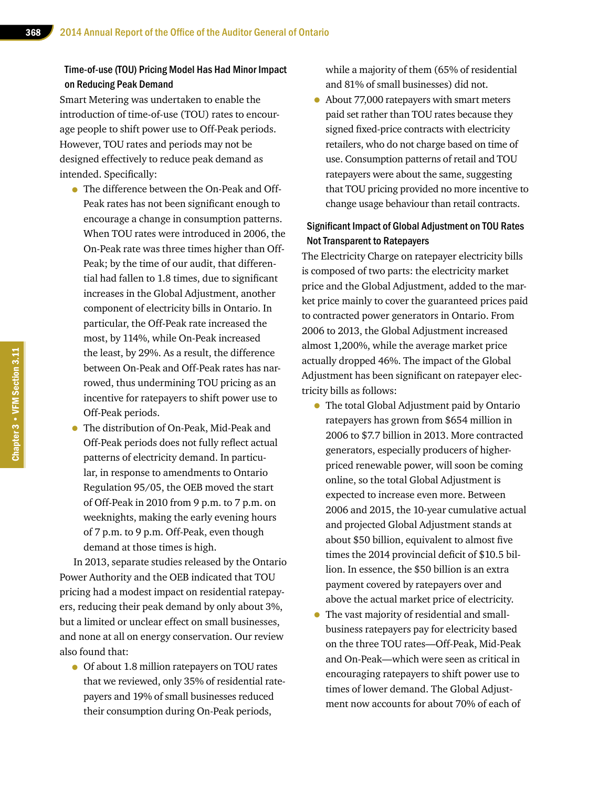#### Time-of-use (TOU) Pricing Model Has Had Minor Impact on Reducing Peak Demand

Smart Metering was undertaken to enable the introduction of time-of-use (TOU) rates to encourage people to shift power use to Off-Peak periods. However, TOU rates and periods may not be designed effectively to reduce peak demand as intended. Specifically:

- The difference between the On-Peak and Off-Peak rates has not been significant enough to encourage a change in consumption patterns. When TOU rates were introduced in 2006, the On-Peak rate was three times higher than Off-Peak; by the time of our audit, that differential had fallen to 1.8 times, due to significant increases in the Global Adjustment, another component of electricity bills in Ontario. In particular, the Off-Peak rate increased the most, by 114%, while On-Peak increased the least, by 29%. As a result, the difference between On-Peak and Off-Peak rates has narrowed, thus undermining TOU pricing as an incentive for ratepayers to shift power use to Off-Peak periods.
- The distribution of On-Peak, Mid-Peak and Off-Peak periods does not fully reflect actual patterns of electricity demand. In particular, in response to amendments to Ontario Regulation 95/05, the OEB moved the start of Off-Peak in 2010 from 9 p.m. to 7 p.m. on weeknights, making the early evening hours of 7 p.m. to 9 p.m. Off-Peak, even though demand at those times is high.

In 2013, separate studies released by the Ontario Power Authority and the OEB indicated that TOU pricing had a modest impact on residential ratepayers, reducing their peak demand by only about 3%, but a limited or unclear effect on small businesses, and none at all on energy conservation. Our review also found that:

• Of about 1.8 million ratepayers on TOU rates that we reviewed, only 35% of residential ratepayers and 19% of small businesses reduced their consumption during On-Peak periods,

while a majority of them (65% of residential and 81% of small businesses) did not.

• About 77,000 ratepayers with smart meters paid set rather than TOU rates because they signed fixed-price contracts with electricity retailers, who do not charge based on time of use. Consumption patterns of retail and TOU ratepayers were about the same, suggesting that TOU pricing provided no more incentive to change usage behaviour than retail contracts.

#### Significant Impact of Global Adjustment on TOU Rates Not Transparent to Ratepayers

The Electricity Charge on ratepayer electricity bills is composed of two parts: the electricity market price and the Global Adjustment, added to the market price mainly to cover the guaranteed prices paid to contracted power generators in Ontario. From 2006 to 2013, the Global Adjustment increased almost 1,200%, while the average market price actually dropped 46%. The impact of the Global Adjustment has been significant on ratepayer electricity bills as follows:

- The total Global Adjustment paid by Ontario ratepayers has grown from \$654 million in 2006 to \$7.7 billion in 2013. More contracted generators, especially producers of higherpriced renewable power, will soon be coming online, so the total Global Adjustment is expected to increase even more. Between 2006 and 2015, the 10-year cumulative actual and projected Global Adjustment stands at about \$50 billion, equivalent to almost five times the 2014 provincial deficit of \$10.5 billion. In essence, the \$50 billion is an extra payment covered by ratepayers over and above the actual market price of electricity.
- The vast majority of residential and smallbusiness ratepayers pay for electricity based on the three TOU rates—Off-Peak, Mid-Peak and On-Peak—which were seen as critical in encouraging ratepayers to shift power use to times of lower demand. The Global Adjustment now accounts for about 70% of each of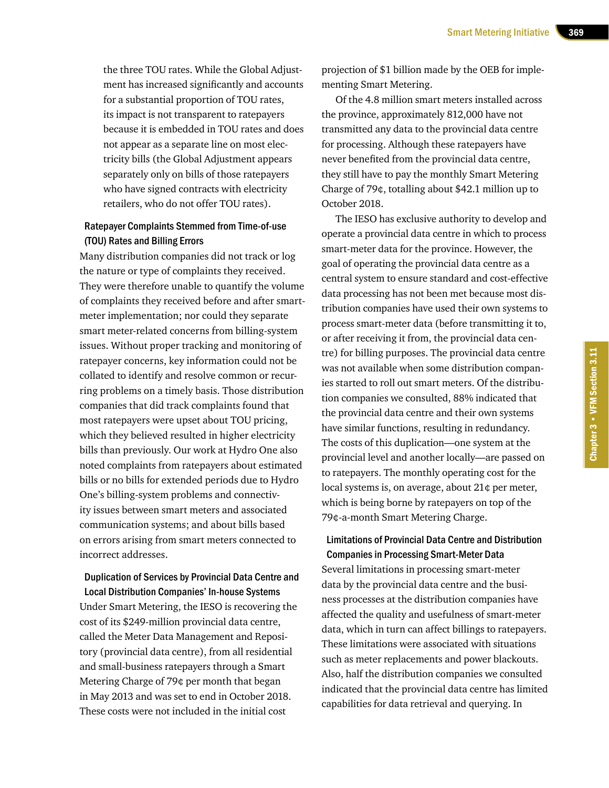the three TOU rates. While the Global Adjustment has increased significantly and accounts for a substantial proportion of TOU rates, its impact is not transparent to ratepayers because it is embedded in TOU rates and does not appear as a separate line on most electricity bills (the Global Adjustment appears separately only on bills of those ratepayers who have signed contracts with electricity retailers, who do not offer TOU rates).

#### Ratepayer Complaints Stemmed from Time-of-use (TOU) Rates and Billing Errors

Many distribution companies did not track or log the nature or type of complaints they received. They were therefore unable to quantify the volume of complaints they received before and after smartmeter implementation; nor could they separate smart meter-related concerns from billing-system issues. Without proper tracking and monitoring of ratepayer concerns, key information could not be collated to identify and resolve common or recurring problems on a timely basis. Those distribution companies that did track complaints found that most ratepayers were upset about TOU pricing, which they believed resulted in higher electricity bills than previously. Our work at Hydro One also noted complaints from ratepayers about estimated bills or no bills for extended periods due to Hydro One's billing-system problems and connectivity issues between smart meters and associated communication systems; and about bills based on errors arising from smart meters connected to incorrect addresses.

Duplication of Services by Provincial Data Centre and Local Distribution Companies' In-house Systems Under Smart Metering, the IESO is recovering the cost of its \$249-million provincial data centre, called the Meter Data Management and Repository (provincial data centre), from all residential and small-business ratepayers through a Smart Metering Charge of 79¢ per month that began in May 2013 and was set to end in October 2018. These costs were not included in the initial cost

projection of \$1 billion made by the OEB for implementing Smart Metering.

Of the 4.8 million smart meters installed across the province, approximately 812,000 have not transmitted any data to the provincial data centre for processing. Although these ratepayers have never benefited from the provincial data centre, they still have to pay the monthly Smart Metering Charge of 79¢, totalling about \$42.1 million up to October 2018.

The IESO has exclusive authority to develop and operate a provincial data centre in which to process smart-meter data for the province. However, the goal of operating the provincial data centre as a central system to ensure standard and cost-effective data processing has not been met because most distribution companies have used their own systems to process smart-meter data (before transmitting it to, or after receiving it from, the provincial data centre) for billing purposes. The provincial data centre was not available when some distribution companies started to roll out smart meters. Of the distribution companies we consulted, 88% indicated that the provincial data centre and their own systems have similar functions, resulting in redundancy. The costs of this duplication—one system at the provincial level and another locally—are passed on to ratepayers. The monthly operating cost for the local systems is, on average, about 21¢ per meter, which is being borne by ratepayers on top of the 79¢-a-month Smart Metering Charge.

#### Limitations of Provincial Data Centre and Distribution Companies in Processing Smart-Meter Data

Several limitations in processing smart-meter data by the provincial data centre and the business processes at the distribution companies have affected the quality and usefulness of smart-meter data, which in turn can affect billings to ratepayers. These limitations were associated with situations such as meter replacements and power blackouts. Also, half the distribution companies we consulted indicated that the provincial data centre has limited capabilities for data retrieval and querying. In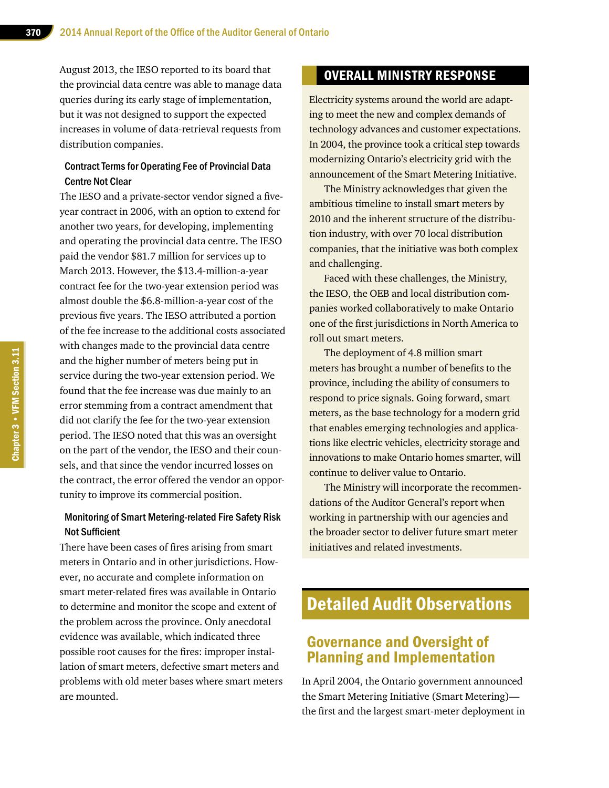August 2013, the IESO reported to its board that the provincial data centre was able to manage data queries during its early stage of implementation, but it was not designed to support the expected increases in volume of data-retrieval requests from distribution companies.

#### Contract Terms for Operating Fee of Provincial Data Centre Not Clear

The IESO and a private-sector vendor signed a fiveyear contract in 2006, with an option to extend for another two years, for developing, implementing and operating the provincial data centre. The IESO paid the vendor \$81.7 million for services up to March 2013. However, the \$13.4-million-a-year contract fee for the two-year extension period was almost double the \$6.8-million-a-year cost of the previous five years. The IESO attributed a portion of the fee increase to the additional costs associated with changes made to the provincial data centre and the higher number of meters being put in service during the two-year extension period. We found that the fee increase was due mainly to an error stemming from a contract amendment that did not clarify the fee for the two-year extension period. The IESO noted that this was an oversight on the part of the vendor, the IESO and their counsels, and that since the vendor incurred losses on the contract, the error offered the vendor an opportunity to improve its commercial position.

#### Monitoring of Smart Metering-related Fire Safety Risk Not Sufficient

There have been cases of fires arising from smart meters in Ontario and in other jurisdictions. However, no accurate and complete information on smart meter-related fires was available in Ontario to determine and monitor the scope and extent of the problem across the province. Only anecdotal evidence was available, which indicated three possible root causes for the fires: improper installation of smart meters, defective smart meters and problems with old meter bases where smart meters are mounted.

# OVERALL MINISTRY RESPONSE

Electricity systems around the world are adapting to meet the new and complex demands of technology advances and customer expectations. In 2004, the province took a critical step towards modernizing Ontario's electricity grid with the announcement of the Smart Metering Initiative.

The Ministry acknowledges that given the ambitious timeline to install smart meters by 2010 and the inherent structure of the distribution industry, with over 70 local distribution companies, that the initiative was both complex and challenging.

Faced with these challenges, the Ministry, the IESO, the OEB and local distribution companies worked collaboratively to make Ontario one of the first jurisdictions in North America to roll out smart meters.

The deployment of 4.8 million smart meters has brought a number of benefits to the province, including the ability of consumers to respond to price signals. Going forward, smart meters, as the base technology for a modern grid that enables emerging technologies and applications like electric vehicles, electricity storage and innovations to make Ontario homes smarter, will continue to deliver value to Ontario.

The Ministry will incorporate the recommendations of the Auditor General's report when working in partnership with our agencies and the broader sector to deliver future smart meter initiatives and related investments.

# Detailed Audit Observations

# Governance and Oversight of Planning and Implementation

In April 2004, the Ontario government announced the Smart Metering Initiative (Smart Metering) the first and the largest smart-meter deployment in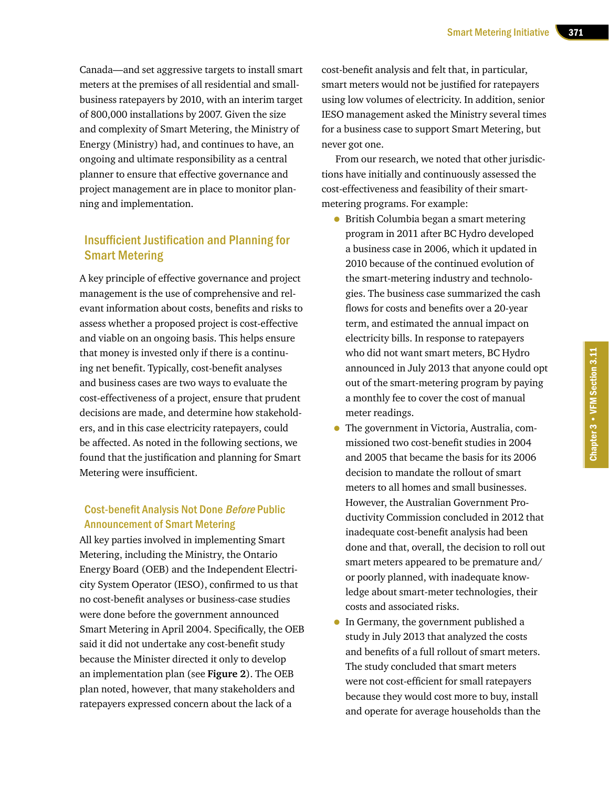Canada—and set aggressive targets to install smart meters at the premises of all residential and smallbusiness ratepayers by 2010, with an interim target of 800,000 installations by 2007. Given the size and complexity of Smart Metering, the Ministry of Energy (Ministry) had, and continues to have, an ongoing and ultimate responsibility as a central planner to ensure that effective governance and project management are in place to monitor planning and implementation.

# Insufficient Justification and Planning for Smart Metering

A key principle of effective governance and project management is the use of comprehensive and relevant information about costs, benefits and risks to assess whether a proposed project is cost-effective and viable on an ongoing basis. This helps ensure that money is invested only if there is a continuing net benefit. Typically, cost-benefit analyses and business cases are two ways to evaluate the cost-effectiveness of a project, ensure that prudent decisions are made, and determine how stakeholders, and in this case electricity ratepayers, could be affected. As noted in the following sections, we found that the justification and planning for Smart Metering were insufficient.

#### Cost-benefit Analysis Not Done Before Public Announcement of Smart Metering

All key parties involved in implementing Smart Metering, including the Ministry, the Ontario Energy Board (OEB) and the Independent Electricity System Operator (IESO), confirmed to us that no cost-benefit analyses or business-case studies were done before the government announced Smart Metering in April 2004. Specifically, the OEB said it did not undertake any cost-benefit study because the Minister directed it only to develop an implementation plan (see **Figure 2**). The OEB plan noted, however, that many stakeholders and ratepayers expressed concern about the lack of a

cost-benefit analysis and felt that, in particular, smart meters would not be justified for ratepayers using low volumes of electricity. In addition, senior IESO management asked the Ministry several times for a business case to support Smart Metering, but never got one.

From our research, we noted that other jurisdictions have initially and continuously assessed the cost-effectiveness and feasibility of their smartmetering programs. For example:

- British Columbia began a smart metering program in 2011 after BC Hydro developed a business case in 2006, which it updated in 2010 because of the continued evolution of the smart-metering industry and technologies. The business case summarized the cash flows for costs and benefits over a 20-year term, and estimated the annual impact on electricity bills. In response to ratepayers who did not want smart meters, BC Hydro announced in July 2013 that anyone could opt out of the smart-metering program by paying a monthly fee to cover the cost of manual meter readings.
- The government in Victoria, Australia, commissioned two cost-benefit studies in 2004 and 2005 that became the basis for its 2006 decision to mandate the rollout of smart meters to all homes and small businesses. However, the Australian Government Productivity Commission concluded in 2012 that inadequate cost-benefit analysis had been done and that, overall, the decision to roll out smart meters appeared to be premature and/ or poorly planned, with inadequate knowledge about smart-meter technologies, their costs and associated risks.
- In Germany, the government published a study in July 2013 that analyzed the costs and benefits of a full rollout of smart meters. The study concluded that smart meters were not cost-efficient for small ratepayers because they would cost more to buy, install and operate for average households than the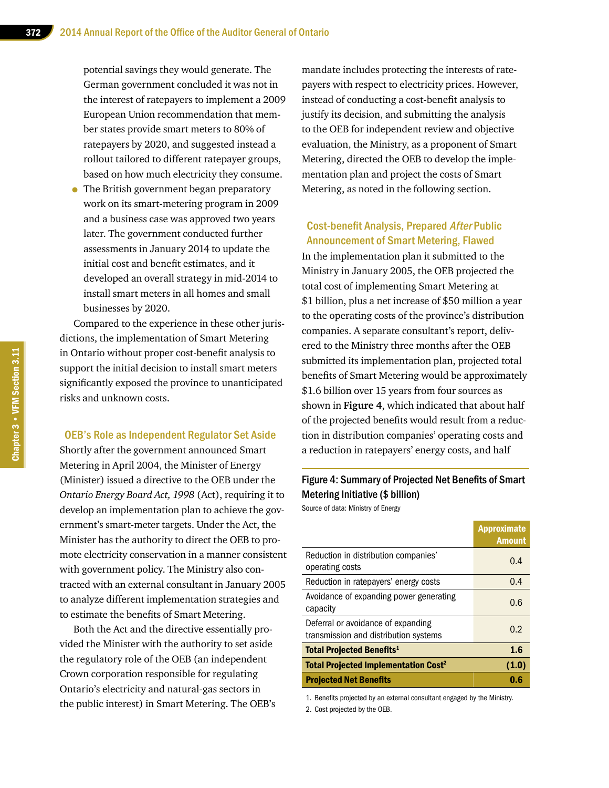potential savings they would generate. The German government concluded it was not in the interest of ratepayers to implement a 2009 European Union recommendation that member states provide smart meters to 80% of ratepayers by 2020, and suggested instead a rollout tailored to different ratepayer groups, based on how much electricity they consume.

• The British government began preparatory work on its smart-metering program in 2009 and a business case was approved two years later. The government conducted further assessments in January 2014 to update the initial cost and benefit estimates, and it developed an overall strategy in mid-2014 to install smart meters in all homes and small businesses by 2020.

Compared to the experience in these other jurisdictions, the implementation of Smart Metering in Ontario without proper cost-benefit analysis to support the initial decision to install smart meters significantly exposed the province to unanticipated risks and unknown costs.

#### OEB's Role as Independent Regulator Set Aside

Shortly after the government announced Smart Metering in April 2004, the Minister of Energy (Minister) issued a directive to the OEB under the *Ontario Energy Board Act, 1998* (Act), requiring it to develop an implementation plan to achieve the government's smart-meter targets. Under the Act, the Minister has the authority to direct the OEB to promote electricity conservation in a manner consistent with government policy. The Ministry also contracted with an external consultant in January 2005 to analyze different implementation strategies and to estimate the benefits of Smart Metering.

Both the Act and the directive essentially provided the Minister with the authority to set aside the regulatory role of the OEB (an independent Crown corporation responsible for regulating Ontario's electricity and natural-gas sectors in the public interest) in Smart Metering. The OEB's

mandate includes protecting the interests of ratepayers with respect to electricity prices. However, instead of conducting a cost-benefit analysis to justify its decision, and submitting the analysis to the OEB for independent review and objective evaluation, the Ministry, as a proponent of Smart Metering, directed the OEB to develop the implementation plan and project the costs of Smart Metering, as noted in the following section.

#### Cost-benefit Analysis, Prepared After Public Announcement of Smart Metering, Flawed

In the implementation plan it submitted to the Ministry in January 2005, the OEB projected the total cost of implementing Smart Metering at \$1 billion, plus a net increase of \$50 million a year to the operating costs of the province's distribution companies. A separate consultant's report, delivered to the Ministry three months after the OEB submitted its implementation plan, projected total benefits of Smart Metering would be approximately \$1.6 billion over 15 years from four sources as shown in **Figure 4**, which indicated that about half of the projected benefits would result from a reduction in distribution companies' operating costs and a reduction in ratepayers' energy costs, and half

# Figure 4: Summary of Projected Net Benefits of Smart Metering Initiative (\$ billion)

Source of data: Ministry of Energy

|                                                                             | <b>Approximate</b><br><b>Amount</b> |
|-----------------------------------------------------------------------------|-------------------------------------|
| Reduction in distribution companies'<br>operating costs                     | 0.4                                 |
| Reduction in ratepayers' energy costs                                       | 0.4                                 |
| Avoidance of expanding power generating<br>capacity                         | 0.6                                 |
| Deferral or avoidance of expanding<br>transmission and distribution systems | 0.2                                 |
| <b>Total Projected Benefits<sup>1</sup></b>                                 | 1.6                                 |
| <b>Total Projected Implementation Cost<sup>2</sup></b>                      | (1.0)                               |
| <b>Projected Net Benefits</b>                                               | 0.6                                 |

1. Benefits projected by an external consultant engaged by the Ministry.

2. Cost projected by the OEB.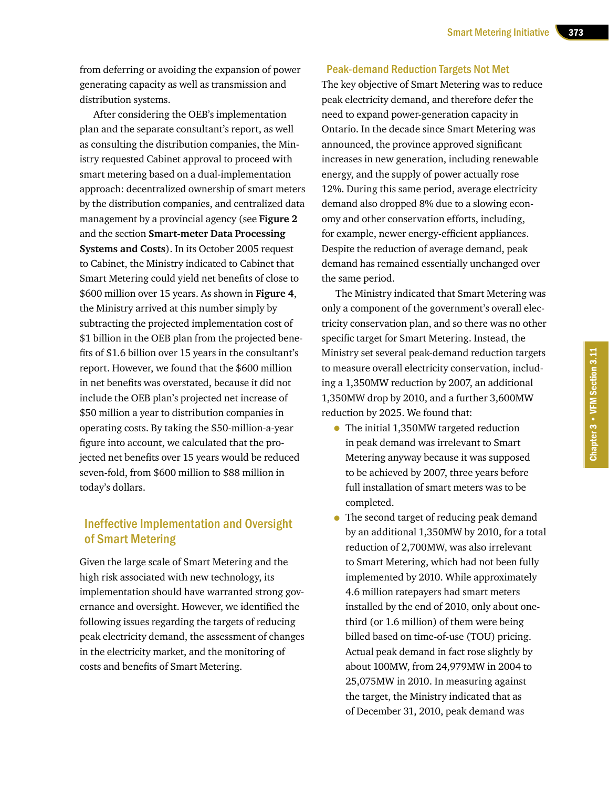from deferring or avoiding the expansion of power generating capacity as well as transmission and distribution systems.

After considering the OEB's implementation plan and the separate consultant's report, as well as consulting the distribution companies, the Ministry requested Cabinet approval to proceed with smart metering based on a dual-implementation approach: decentralized ownership of smart meters by the distribution companies, and centralized data management by a provincial agency (see **Figure 2** and the section **Smart-meter Data Processing Systems and Costs**). In its October 2005 request to Cabinet, the Ministry indicated to Cabinet that Smart Metering could yield net benefits of close to \$600 million over 15 years. As shown in **Figure 4**, the Ministry arrived at this number simply by subtracting the projected implementation cost of \$1 billion in the OEB plan from the projected benefits of \$1.6 billion over 15 years in the consultant's report. However, we found that the \$600 million in net benefits was overstated, because it did not include the OEB plan's projected net increase of \$50 million a year to distribution companies in operating costs. By taking the \$50-million-a-year figure into account, we calculated that the projected net benefits over 15 years would be reduced seven-fold, from \$600 million to \$88 million in today's dollars.

### Ineffective Implementation and Oversight of Smart Metering

Given the large scale of Smart Metering and the high risk associated with new technology, its implementation should have warranted strong governance and oversight. However, we identified the following issues regarding the targets of reducing peak electricity demand, the assessment of changes in the electricity market, and the monitoring of costs and benefits of Smart Metering.

#### Peak-demand Reduction Targets Not Met

The key objective of Smart Metering was to reduce peak electricity demand, and therefore defer the need to expand power-generation capacity in Ontario. In the decade since Smart Metering was announced, the province approved significant increases in new generation, including renewable energy, and the supply of power actually rose 12%. During this same period, average electricity demand also dropped 8% due to a slowing economy and other conservation efforts, including, for example, newer energy-efficient appliances. Despite the reduction of average demand, peak demand has remained essentially unchanged over the same period.

The Ministry indicated that Smart Metering was only a component of the government's overall electricity conservation plan, and so there was no other specific target for Smart Metering. Instead, the Ministry set several peak-demand reduction targets to measure overall electricity conservation, including a 1,350MW reduction by 2007, an additional 1,350MW drop by 2010, and a further 3,600MW reduction by 2025. We found that:

- The initial 1,350MW targeted reduction in peak demand was irrelevant to Smart Metering anyway because it was supposed to be achieved by 2007, three years before full installation of smart meters was to be completed.
- The second target of reducing peak demand by an additional 1,350MW by 2010, for a total reduction of 2,700MW, was also irrelevant to Smart Metering, which had not been fully implemented by 2010. While approximately 4.6 million ratepayers had smart meters installed by the end of 2010, only about onethird (or 1.6 million) of them were being billed based on time-of-use (TOU) pricing. Actual peak demand in fact rose slightly by about 100MW, from 24,979MW in 2004 to 25,075MW in 2010. In measuring against the target, the Ministry indicated that as of December 31, 2010, peak demand was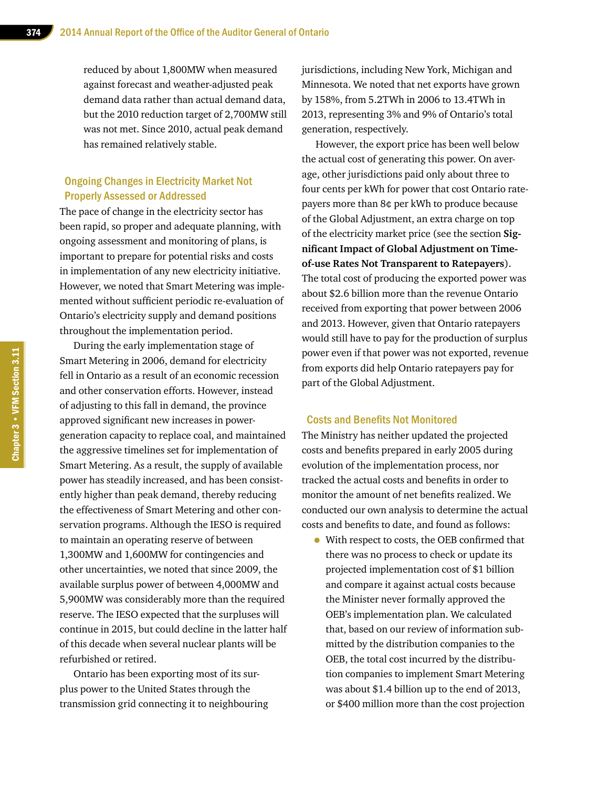reduced by about 1,800MW when measured against forecast and weather-adjusted peak demand data rather than actual demand data, but the 2010 reduction target of 2,700MW still was not met. Since 2010, actual peak demand has remained relatively stable.

#### Ongoing Changes in Electricity Market Not Properly Assessed or Addressed

The pace of change in the electricity sector has been rapid, so proper and adequate planning, with ongoing assessment and monitoring of plans, is important to prepare for potential risks and costs in implementation of any new electricity initiative. However, we noted that Smart Metering was implemented without sufficient periodic re-evaluation of Ontario's electricity supply and demand positions throughout the implementation period.

During the early implementation stage of Smart Metering in 2006, demand for electricity fell in Ontario as a result of an economic recession and other conservation efforts. However, instead of adjusting to this fall in demand, the province approved significant new increases in powergeneration capacity to replace coal, and maintained the aggressive timelines set for implementation of Smart Metering. As a result, the supply of available power has steadily increased, and has been consistently higher than peak demand, thereby reducing the effectiveness of Smart Metering and other conservation programs. Although the IESO is required to maintain an operating reserve of between 1,300MW and 1,600MW for contingencies and other uncertainties, we noted that since 2009, the available surplus power of between 4,000MW and 5,900MW was considerably more than the required reserve. The IESO expected that the surpluses will continue in 2015, but could decline in the latter half of this decade when several nuclear plants will be refurbished or retired.

Ontario has been exporting most of its surplus power to the United States through the transmission grid connecting it to neighbouring jurisdictions, including New York, Michigan and Minnesota. We noted that net exports have grown by 158%, from 5.2TWh in 2006 to 13.4TWh in 2013, representing 3% and 9% of Ontario's total generation, respectively.

However, the export price has been well below the actual cost of generating this power. On average, other jurisdictions paid only about three to four cents per kWh for power that cost Ontario ratepayers more than 8¢ per kWh to produce because of the Global Adjustment, an extra charge on top of the electricity market price (see the section **Significant Impact of Global Adjustment on Timeof-use Rates Not Transparent to Ratepayers**). The total cost of producing the exported power was about \$2.6 billion more than the revenue Ontario received from exporting that power between 2006 and 2013. However, given that Ontario ratepayers would still have to pay for the production of surplus power even if that power was not exported, revenue from exports did help Ontario ratepayers pay for part of the Global Adjustment.

#### Costs and Benefits Not Monitored

The Ministry has neither updated the projected costs and benefits prepared in early 2005 during evolution of the implementation process, nor tracked the actual costs and benefits in order to monitor the amount of net benefits realized. We conducted our own analysis to determine the actual costs and benefits to date, and found as follows:

• With respect to costs, the OEB confirmed that there was no process to check or update its projected implementation cost of \$1 billion and compare it against actual costs because the Minister never formally approved the OEB's implementation plan. We calculated that, based on our review of information submitted by the distribution companies to the OEB, the total cost incurred by the distribution companies to implement Smart Metering was about \$1.4 billion up to the end of 2013, or \$400 million more than the cost projection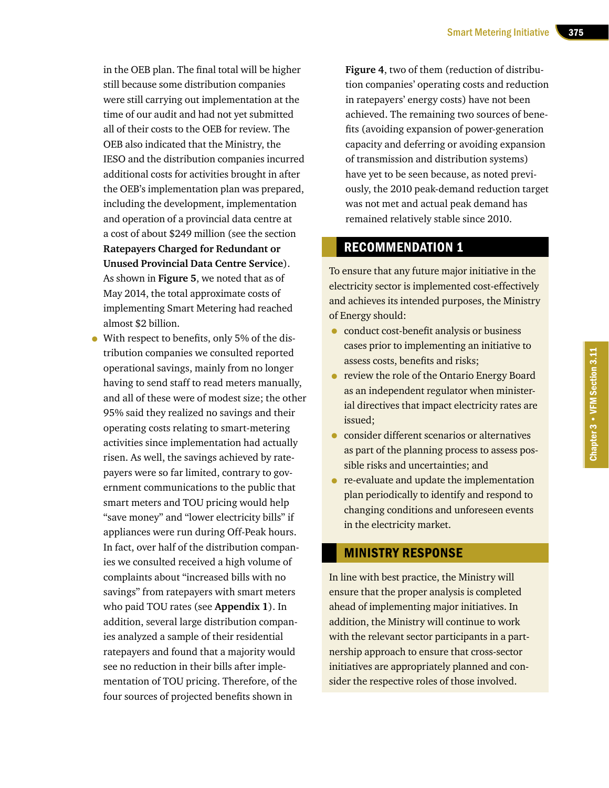in the OEB plan. The final total will be higher still because some distribution companies were still carrying out implementation at the time of our audit and had not yet submitted all of their costs to the OEB for review. The OEB also indicated that the Ministry, the IESO and the distribution companies incurred additional costs for activities brought in after the OEB's implementation plan was prepared, including the development, implementation and operation of a provincial data centre at a cost of about \$249 million (see the section **Ratepayers Charged for Redundant or Unused Provincial Data Centre Service**). As shown in **Figure 5**, we noted that as of May 2014, the total approximate costs of implementing Smart Metering had reached almost \$2 billion.

• With respect to benefits, only 5% of the distribution companies we consulted reported operational savings, mainly from no longer having to send staff to read meters manually, and all of these were of modest size; the other 95% said they realized no savings and their operating costs relating to smart-metering activities since implementation had actually risen. As well, the savings achieved by ratepayers were so far limited, contrary to government communications to the public that smart meters and TOU pricing would help "save money" and "lower electricity bills" if appliances were run during Off-Peak hours. In fact, over half of the distribution companies we consulted received a high volume of complaints about "increased bills with no savings" from ratepayers with smart meters who paid TOU rates (see **Appendix 1**). In addition, several large distribution companies analyzed a sample of their residential ratepayers and found that a majority would see no reduction in their bills after implementation of TOU pricing. Therefore, of the four sources of projected benefits shown in

**Figure 4**, two of them (reduction of distribution companies' operating costs and reduction in ratepayers' energy costs) have not been achieved. The remaining two sources of benefits (avoiding expansion of power-generation capacity and deferring or avoiding expansion of transmission and distribution systems) have yet to be seen because, as noted previously, the 2010 peak-demand reduction target was not met and actual peak demand has remained relatively stable since 2010.

# RECOMMENDATION 1

To ensure that any future major initiative in the electricity sector is implemented cost-effectively and achieves its intended purposes, the Ministry of Energy should:

- conduct cost-benefit analysis or business cases prior to implementing an initiative to assess costs, benefits and risks;
- review the role of the Ontario Energy Board as an independent regulator when ministerial directives that impact electricity rates are issued;
- consider different scenarios or alternatives as part of the planning process to assess possible risks and uncertainties; and
- re-evaluate and update the implementation plan periodically to identify and respond to changing conditions and unforeseen events in the electricity market.

#### MINISTRY RESPONSE

In line with best practice, the Ministry will ensure that the proper analysis is completed ahead of implementing major initiatives. In addition, the Ministry will continue to work with the relevant sector participants in a partnership approach to ensure that cross-sector initiatives are appropriately planned and consider the respective roles of those involved.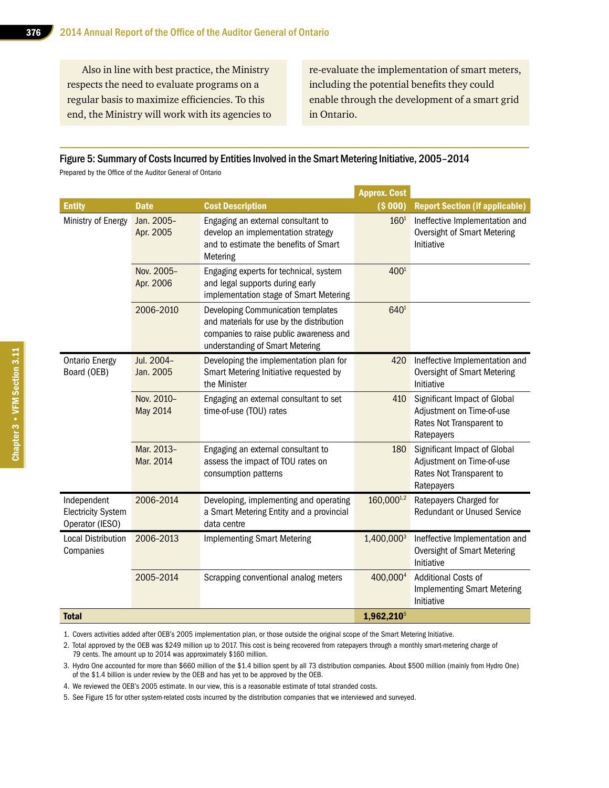Also in line with best practice, the Ministry respects the need to evaluate programs on a regular basis to maximize efficiencies. To this end, the Ministry will work with its agencies to

re-evaluate the implementation of smart meters, including the potential benefits they could enable through the development of a smart grid in Ontario.

#### Figure 5: Summary of Costs Incurred by Entities Involved in the Smart Metering Initiative, 2005–2014

Prepared by the Office of the Auditor General of Ontario

|                                                             |                               |                                                                                                                                                               | <b>Approx. Cost</b>  |                                                                                                            |
|-------------------------------------------------------------|-------------------------------|---------------------------------------------------------------------------------------------------------------------------------------------------------------|----------------------|------------------------------------------------------------------------------------------------------------|
| <b>Entity</b>                                               | <b>Date</b>                   | <b>Cost Description</b>                                                                                                                                       | ( \$000]             | <b>Report Section (if applicable)</b>                                                                      |
| Ministry of Energy                                          | Jan. 2005-<br>Apr. 2005       | Engaging an external consultant to<br>develop an implementation strategy<br>and to estimate the benefits of Smart<br>Metering                                 | 160 <sup>1</sup>     | Ineffective Implementation and<br>Oversight of Smart Metering<br>Initiative                                |
|                                                             | Nov. 2005-<br>Apr. 2006       | Engaging experts for technical, system<br>and legal supports during early<br>implementation stage of Smart Metering                                           | 400 <sup>1</sup>     |                                                                                                            |
|                                                             | 2006-2010                     | Developing Communication templates<br>and materials for use by the distribution<br>companies to raise public awareness and<br>understanding of Smart Metering | 6401                 |                                                                                                            |
| <b>Ontario Energy</b><br>Board (OEB)                        | Jul. 2004-<br>Jan. 2005       | Developing the implementation plan for<br>Smart Metering Initiative requested by<br>the Minister                                                              | 420                  | Ineffective Implementation and<br><b>Oversight of Smart Metering</b><br>Initiative                         |
|                                                             | Nov. 2010-<br><b>May 2014</b> | Engaging an external consultant to set<br>time-of-use (TOU) rates                                                                                             | 410                  | Significant Impact of Global<br>Adjustment on Time-of-use<br>Rates Not Transparent to<br>Ratepayers        |
|                                                             | Mar. 2013-<br>Mar. 2014       | Engaging an external consultant to<br>assess the impact of TOU rates on<br>consumption patterns                                                               | 180                  | <b>Significant Impact of Global</b><br>Adjustment on Time-of-use<br>Rates Not Transparent to<br>Ratepayers |
| Independent<br><b>Electricity System</b><br>Operator (IESO) | 2006-2014                     | Developing, implementing and operating<br>a Smart Metering Entity and a provincial<br>data centre                                                             | 160,0001,2           | Ratepayers Charged for<br><b>Redundant or Unused Service</b>                                               |
| <b>Local Distribution</b><br>Companies                      | 2006-2013                     | <b>Implementing Smart Metering</b>                                                                                                                            | 1,400,0003           | Ineffective Implementation and<br>Oversight of Smart Metering<br>Initiative                                |
|                                                             | 2005-2014                     | Scrapping conventional analog meters                                                                                                                          | 400,000 <sup>4</sup> | <b>Additional Costs of</b><br><b>Implementing Smart Metering</b><br>Initiative                             |
| <b>Total</b>                                                |                               |                                                                                                                                                               | 1,962,210            |                                                                                                            |

1. Covers activities added after OEB's 2005 implementation plan, or those outside the original scope of the Smart Metering Initiative.

2. Total approved by the OEB was \$249 million up to 2017. This cost is being recovered from ratepayers through a monthly smart-metering charge of 79 cents. The amount up to 2014 was approximately \$160 million.

3. Hydro One accounted for more than \$660 million of the \$1.4 billion spent by all 73 distribution companies. About \$500 million (mainly from Hydro One) of the \$1.4 billion is under review by the OEB and has yet to be approved by the OEB.

- 4. We reviewed the OEB's 2005 estimate. In our view, this is a reasonable estimate of total stranded costs.
- 5. See Figure 15 for other system-related costs incurred by the distribution companies that we interviewed and surveyed.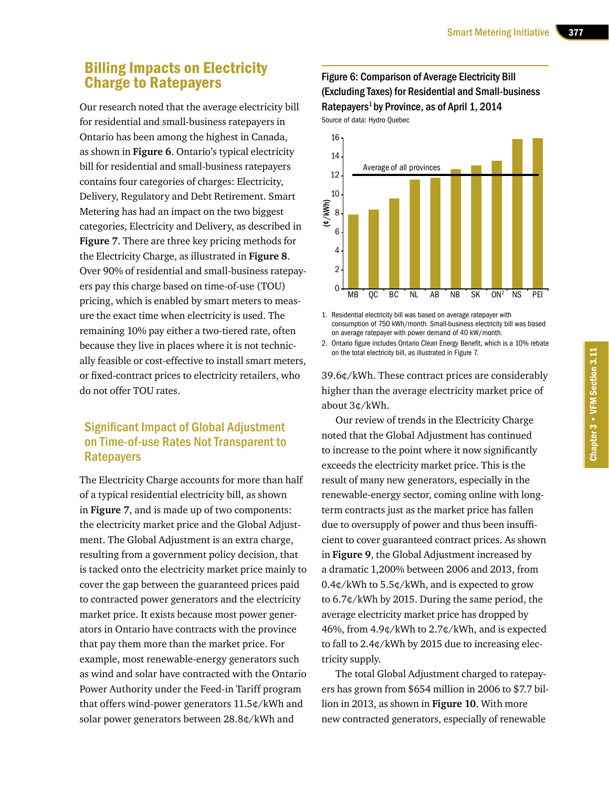# Billing Impacts on Electricity Charge to Ratepayers

Our research noted that the average electricity bill for residential and small-business ratepayers in Ontario has been among the highest in Canada, as shown in **Figure 6**. Ontario's typical electricity bill for residential and small-business ratepayers contains four categories of charges: Electricity, Delivery, Regulatory and Debt Retirement. Smart Metering has had an impact on the two biggest categories, Electricity and Delivery, as described in **Figure 7**. There are three key pricing methods for the Electricity Charge, as illustrated in **Figure 8**. Over 90% of residential and small-business ratepayers pay this charge based on time-of-use (TOU) pricing, which is enabled by smart meters to measure the exact time when electricity is used. The remaining 10% pay either a two-tiered rate, often because they live in places where it is not technically feasible or cost-effective to install smart meters, or fixed-contract prices to electricity retailers, who do not offer TOU rates.

## Significant Impact of Global Adjustment on Time-of-use Rates Not Transparent to **Ratepayers**

The Electricity Charge accounts for more than half of a typical residential electricity bill, as shown in **Figure 7**, and is made up of two components: the electricity market price and the Global Adjustment. The Global Adjustment is an extra charge, resulting from a government policy decision, that is tacked onto the electricity market price mainly to cover the gap between the guaranteed prices paid to contracted power generators and the electricity market price. It exists because most power generators in Ontario have contracts with the province that pay them more than the market price. For example, most renewable-energy generators such as wind and solar have contracted with the Ontario Power Authority under the Feed-in Tariff program that offers wind-power generators 11.5¢/kWh and solar power generators between 28.8¢/kWh and

#### Figure 6: Comparison of Average Electricity Bill (Excluding Taxes) for Residential and Small-business Ratepayers<sup>1</sup> by Province, as of April  $1, 2014$ Source of data: Hydro Quebec



1. Residential electricity bill was based on average ratepayer with consumption of 750 kWh/month. Small-business electricity bill was based on average ratepayer with power demand of 40 kW/month.

2. Ontario figure includes Ontario Clean Energy Benefit, which is a 10% rebate on the total electricity bill, as illustrated in Figure 7.

39.6¢/kWh. These contract prices are considerably higher than the average electricity market price of about 3¢/kWh.

Our review of trends in the Electricity Charge noted that the Global Adjustment has continued to increase to the point where it now significantly exceeds the electricity market price. This is the result of many new generators, especially in the renewable-energy sector, coming online with longterm contracts just as the market price has fallen due to oversupply of power and thus been insufficient to cover guaranteed contract prices. As shown in **Figure 9**, the Global Adjustment increased by a dramatic 1,200% between 2006 and 2013, from 0.4¢/kWh to 5.5¢/kWh, and is expected to grow to 6.7¢/kWh by 2015. During the same period, the average electricity market price has dropped by 46%, from 4.9¢/kWh to 2.7¢/kWh, and is expected to fall to 2.4¢/kWh by 2015 due to increasing electricity supply.

The total Global Adjustment charged to ratepayers has grown from \$654 million in 2006 to \$7.7 billion in 2013, as shown in **Figure 10**. With more new contracted generators, especially of renewable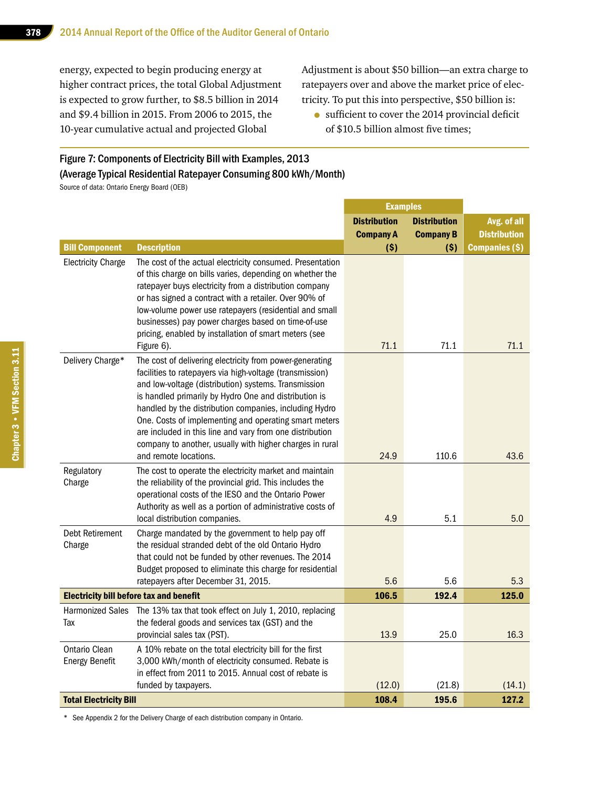energy, expected to begin producing energy at higher contract prices, the total Global Adjustment is expected to grow further, to \$8.5 billion in 2014 and \$9.4 billion in 2015. From 2006 to 2015, the 10-year cumulative actual and projected Global

Adjustment is about \$50 billion—an extra charge to ratepayers over and above the market price of electricity. To put this into perspective, \$50 billion is:

• sufficient to cover the 2014 provincial deficit of \$10.5 billion almost five times;

#### Figure 7: Components of Electricity Bill with Examples, 2013 (Average Typical Residential Ratepayer Consuming 800 kWh/Month)

Source of data: Ontario Energy Board (OEB)

|                                                    |                                                                                                                                                                                                                                                                                                                                                                                                                                                                                                           | <b>Examples</b>     |                     |                               |  |
|----------------------------------------------------|-----------------------------------------------------------------------------------------------------------------------------------------------------------------------------------------------------------------------------------------------------------------------------------------------------------------------------------------------------------------------------------------------------------------------------------------------------------------------------------------------------------|---------------------|---------------------|-------------------------------|--|
|                                                    |                                                                                                                                                                                                                                                                                                                                                                                                                                                                                                           | <b>Distribution</b> | <b>Distribution</b> | Avg. of all                   |  |
|                                                    |                                                                                                                                                                                                                                                                                                                                                                                                                                                                                                           | <b>Company A</b>    | <b>Company B</b>    | <b>Distribution</b>           |  |
| <b>Bill Component</b><br><b>Electricity Charge</b> | <b>Description</b><br>The cost of the actual electricity consumed. Presentation<br>of this charge on bills varies, depending on whether the<br>ratepayer buys electricity from a distribution company<br>or has signed a contract with a retailer. Over 90% of<br>low-volume power use ratepayers (residential and small<br>businesses) pay power charges based on time-of-use<br>pricing, enabled by installation of smart meters (see<br>Figure 6).                                                     | (S)<br>71.1         | (S)<br>71.1         | <b>Companies (\$)</b><br>71.1 |  |
| Delivery Charge*                                   | The cost of delivering electricity from power-generating<br>facilities to ratepayers via high-voltage (transmission)<br>and low-voltage (distribution) systems. Transmission<br>is handled primarily by Hydro One and distribution is<br>handled by the distribution companies, including Hydro<br>One. Costs of implementing and operating smart meters<br>are included in this line and vary from one distribution<br>company to another, usually with higher charges in rural<br>and remote locations. | 24.9                | 110.6               | 43.6                          |  |
| Regulatory<br>Charge                               | The cost to operate the electricity market and maintain<br>the reliability of the provincial grid. This includes the<br>operational costs of the IESO and the Ontario Power<br>Authority as well as a portion of administrative costs of<br>local distribution companies.                                                                                                                                                                                                                                 | 4.9                 | 5.1                 | 5.0                           |  |
| Debt Retirement<br>Charge                          | Charge mandated by the government to help pay off<br>the residual stranded debt of the old Ontario Hydro<br>that could not be funded by other revenues. The 2014<br>Budget proposed to eliminate this charge for residential<br>ratepayers after December 31, 2015.                                                                                                                                                                                                                                       | 5.6                 | 5.6                 | 5.3                           |  |
| <b>Electricity bill before tax and benefit</b>     |                                                                                                                                                                                                                                                                                                                                                                                                                                                                                                           | 106.5               | 192.4               | 125.0                         |  |
| <b>Harmonized Sales</b><br>Tax                     | The 13% tax that took effect on July 1, 2010, replacing<br>the federal goods and services tax (GST) and the<br>provincial sales tax (PST).                                                                                                                                                                                                                                                                                                                                                                | 13.9                | 25.0                | 16.3                          |  |
| <b>Ontario Clean</b><br><b>Energy Benefit</b>      | A 10% rebate on the total electricity bill for the first<br>3,000 kWh/month of electricity consumed. Rebate is<br>in effect from 2011 to 2015. Annual cost of rebate is<br>funded by taxpayers.                                                                                                                                                                                                                                                                                                           | (12.0)              | (21.8)              | (14.1)                        |  |
| <b>Total Electricity Bill</b>                      |                                                                                                                                                                                                                                                                                                                                                                                                                                                                                                           | 108.4               | 195.6               | 127.2                         |  |

\* See Appendix 2 for the Delivery Charge of each distribution company in Ontario.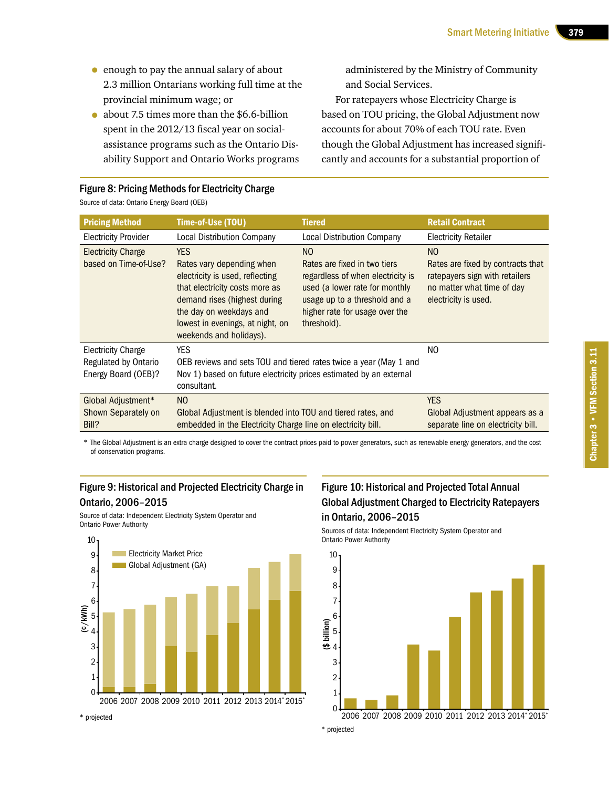- enough to pay the annual salary of about 2.3 million Ontarians working full time at the provincial minimum wage; or
- about 7.5 times more than the \$6.6-billion spent in the 2012/13 fiscal year on socialassistance programs such as the Ontario Disability Support and Ontario Works programs

administered by the Ministry of Community and Social Services.

For ratepayers whose Electricity Charge is based on TOU pricing, the Global Adjustment now accounts for about 70% of each TOU rate. Even though the Global Adjustment has increased significantly and accounts for a substantial proportion of

| Source of data: Ontario Energy Board (OEB) |                                                              |                                                             |  |  |  |
|--------------------------------------------|--------------------------------------------------------------|-------------------------------------------------------------|--|--|--|
| <b>Pricing Method</b>                      | Time-of-Use (TOU)                                            | <b>Tiered</b>                                               |  |  |  |
| <b>Electricity Provider</b>                | <b>Local Distribution Company</b>                            | <b>Local Distribution Compan</b>                            |  |  |  |
| <b>Electricity Charge</b>                  | YFS.                                                         | NO.                                                         |  |  |  |
| based on Time-of-Use?                      | Rates vary depending when<br>electricity is used, reflecting | Rates are fixed in two tiers<br>regardless of when electric |  |  |  |

#### Figure 8: Pricing Methods for Electricity Charge

**Retail Contract** Electricity Retailer electricity is used, reflecting that electricity costs more as demand rises (highest during the day on weekdays and lowest in evenings, at night, on weekends and holidays). Rates are fixed in two tiers  $\mathsf{div}$  is used (a lower rate for monthly usage up to a threshold and a higher rate for usage over the threshold). NO Rates are fixed by contracts that ratepayers sign with retailers no matter what time of day electricity is used. Electricity Charge Regulated by Ontario Energy Board (OEB)? YES OEB reviews and sets TOU and tiered rates twice a year (May 1 and Nov 1) based on future electricity prices estimated by an external consultant. NO Global Adjustment\* Shown Separately on Bill? NO Global Adjustment is blended into TOU and tiered rates, and embedded in the Electricity Charge line on electricity bill. YES Global Adjustment appears as a separate line on electricity bill.

\* The Global Adjustment is an extra charge designed to cover the contract prices paid to power generators, such as renewable energy generators, and the cost of conservation programs.

#### Figure 9: Historical and Projected Electricity Charge in Ontario, 2006–2015

Source of data: Independent Electricity System Operator and Ontario Power Authority



# Figure 10: Historical and Projected Total Annual Global Adjustment Charged to Electricity Ratepayers in Ontario, 2006–2015

Sources of data: Independent Electricity System Operator and Ontario Power Authority

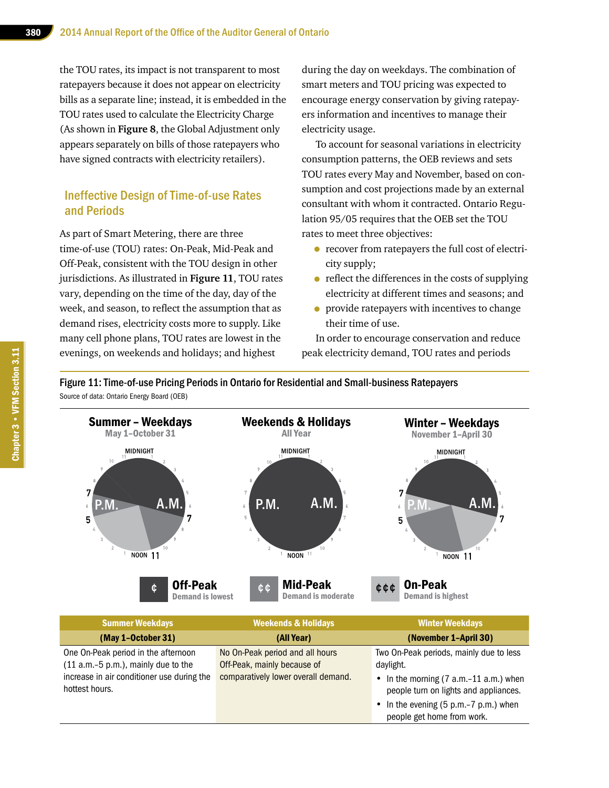the TOU rates, its impact is not transparent to most ratepayers because it does not appear on electricity bills as a separate line; instead, it is embedded in the TOU rates used to calculate the Electricity Charge (As shown in **Figure 8**, the Global Adjustment only appears separately on bills of those ratepayers who have signed contracts with electricity retailers).

#### Ineffective Design of Time-of-use Rates and Periods

As part of Smart Metering, there are three time-of-use (TOU) rates: On-Peak, Mid-Peak and Off-Peak, consistent with the TOU design in other jurisdictions. As illustrated in **Figure 11**, TOU rates vary, depending on the time of the day, day of the week, and season, to reflect the assumption that as demand rises, electricity costs more to supply. Like many cell phone plans, TOU rates are lowest in the evenings, on weekends and holidays; and highest

during the day on weekdays. The combination of smart meters and TOU pricing was expected to encourage energy conservation by giving ratepayers information and incentives to manage their electricity usage.

To account for seasonal variations in electricity consumption patterns, the OEB reviews and sets TOU rates every May and November, based on consumption and cost projections made by an external consultant with whom it contracted. Ontario Regulation 95/05 requires that the OEB set the TOU rates to meet three objectives:

- recover from ratepayers the full cost of electricity supply;
- reflect the differences in the costs of supplying electricity at different times and seasons; and
- provide ratepayers with incentives to change their time of use.

In order to encourage conservation and reduce peak electricity demand, TOU rates and periods

Figure 11: Time-of-use Pricing Periods in Ontario for Residential and Small-business Ratepayers Source of data: Ontario Energy Board (OEB)



| <b>Summer Weekdays</b>                                                       | <b>Weekends &amp; Holidays</b>                                 | <b>Winter Weekdays</b>                                                            |  |
|------------------------------------------------------------------------------|----------------------------------------------------------------|-----------------------------------------------------------------------------------|--|
| (May 1-October 31)                                                           | (All Year)                                                     | (November 1-April 30)                                                             |  |
| One On-Peak period in the afternoon<br>$(11 a.m.-5 p.m.),$ mainly due to the | No On-Peak period and all hours<br>Off-Peak, mainly because of | Two On-Peak periods, mainly due to less<br>daylight.                              |  |
| increase in air conditioner use during the<br>hottest hours.                 | comparatively lower overall demand.                            | • In the morning $(7 a.m.-11 a.m.)$ when<br>people turn on lights and appliances. |  |
|                                                                              |                                                                | • In the evening $(5 p.m.-7 p.m.)$ when<br>people get home from work.             |  |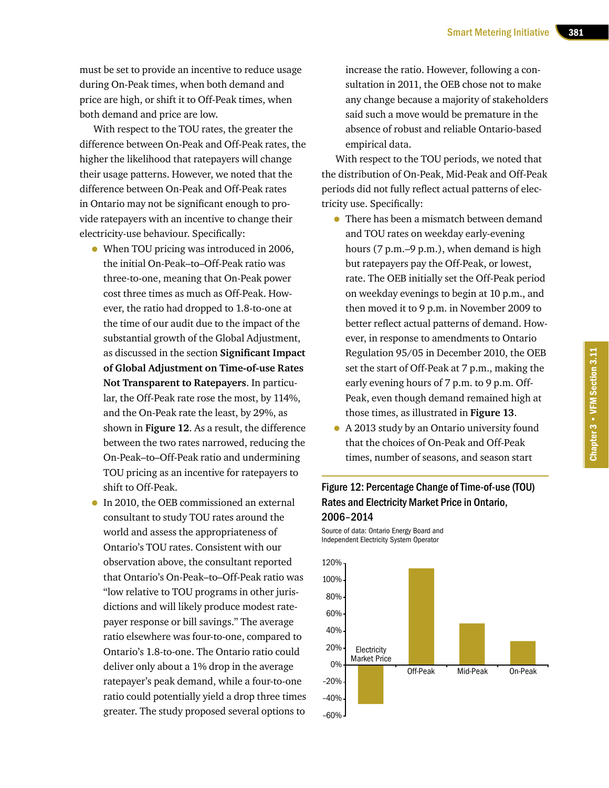must be set to provide an incentive to reduce usage during On-Peak times, when both demand and price are high, or shift it to Off-Peak times, when both demand and price are low.

With respect to the TOU rates, the greater the difference between On-Peak and Off-Peak rates, the higher the likelihood that ratepayers will change their usage patterns. However, we noted that the difference between On-Peak and Off-Peak rates in Ontario may not be significant enough to provide ratepayers with an incentive to change their electricity-use behaviour. Specifically:

- When TOU pricing was introduced in 2006, the initial On-Peak–to–Off-Peak ratio was three-to-one, meaning that On-Peak power cost three times as much as Off-Peak. However, the ratio had dropped to 1.8-to-one at the time of our audit due to the impact of the substantial growth of the Global Adjustment, as discussed in the section **Significant Impact of Global Adjustment on Time-of-use Rates Not Transparent to Ratepayers**. In particular, the Off-Peak rate rose the most, by 114%, and the On-Peak rate the least, by 29%, as shown in **Figure 12**. As a result, the difference between the two rates narrowed, reducing the On-Peak–to–Off-Peak ratio and undermining TOU pricing as an incentive for ratepayers to shift to Off-Peak.
- In 2010, the OEB commissioned an external consultant to study TOU rates around the world and assess the appropriateness of Ontario's TOU rates. Consistent with our observation above, the consultant reported that Ontario's On-Peak–to–Off-Peak ratio was "low relative to TOU programs in other jurisdictions and will likely produce modest ratepayer response or bill savings." The average ratio elsewhere was four-to-one, compared to Ontario's 1.8-to-one. The Ontario ratio could deliver only about a 1% drop in the average ratepayer's peak demand, while a four-to-one ratio could potentially yield a drop three times greater. The study proposed several options to

increase the ratio. However, following a consultation in 2011, the OEB chose not to make any change because a majority of stakeholders said such a move would be premature in the absence of robust and reliable Ontario-based empirical data.

With respect to the TOU periods, we noted that the distribution of On-Peak, Mid-Peak and Off-Peak periods did not fully reflect actual patterns of electricity use. Specifically:

- There has been a mismatch between demand and TOU rates on weekday early-evening hours (7 p.m.–9 p.m.), when demand is high but ratepayers pay the Off-Peak, or lowest, rate. The OEB initially set the Off-Peak period on weekday evenings to begin at 10 p.m., and then moved it to 9 p.m. in November 2009 to better reflect actual patterns of demand. However, in response to amendments to Ontario Regulation 95/05 in December 2010, the OEB set the start of Off-Peak at 7 p.m., making the early evening hours of 7 p.m. to 9 p.m. Off-Peak, even though demand remained high at those times, as illustrated in **Figure 13**.
- A 2013 study by an Ontario university found that the choices of On-Peak and Off-Peak times, number of seasons, and season start

## Figure 12: Percentage Change of Time-of-use (TOU) Rates and Electricity Market Price in Ontario, 2006–2014

Source of data: Ontario Energy Board and Independent Electricity System Operator

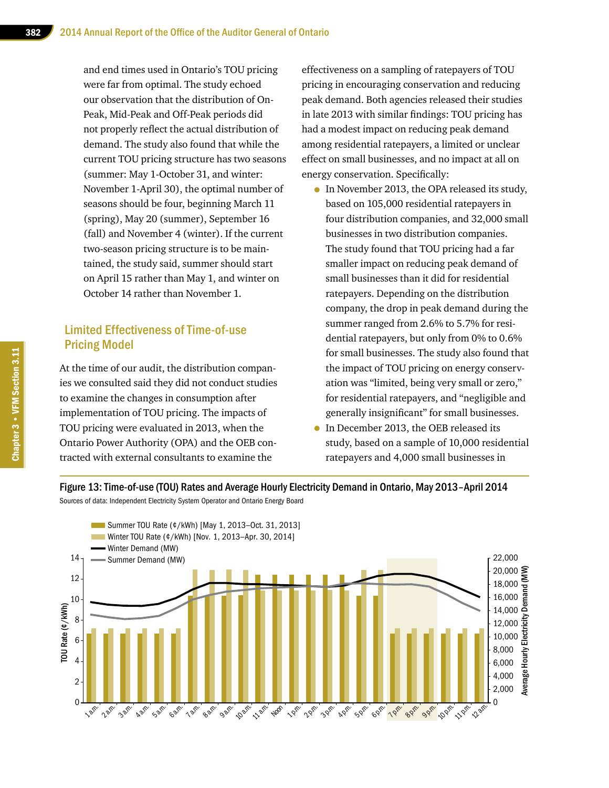and end times used in Ontario's TOU pricing were far from optimal. The study echoed our observation that the distribution of On-Peak, Mid-Peak and Off-Peak periods did not properly reflect the actual distribution of demand. The study also found that while the current TOU pricing structure has two seasons (summer: May 1-October 31, and winter: November 1-April 30), the optimal number of seasons should be four, beginning March 11 (spring), May 20 (summer), September 16 (fall) and November 4 (winter). If the current two-season pricing structure is to be maintained, the study said, summer should start on April 15 rather than May 1, and winter on October 14 rather than November 1.

#### Limited Effectiveness of Time-of-use Pricing Model

At the time of our audit, the distribution companies we consulted said they did not conduct studies to examine the changes in consumption after implementation of TOU pricing. The impacts of TOU pricing were evaluated in 2013, when the Ontario Power Authority (OPA) and the OEB contracted with external consultants to examine the

effectiveness on a sampling of ratepayers of TOU pricing in encouraging conservation and reducing peak demand. Both agencies released their studies in late 2013 with similar findings: TOU pricing has had a modest impact on reducing peak demand among residential ratepayers, a limited or unclear effect on small businesses, and no impact at all on energy conservation. Specifically:

- In November 2013, the OPA released its study, based on 105,000 residential ratepayers in four distribution companies, and 32,000 small businesses in two distribution companies. The study found that TOU pricing had a far smaller impact on reducing peak demand of small businesses than it did for residential ratepayers. Depending on the distribution company, the drop in peak demand during the summer ranged from 2.6% to 5.7% for residential ratepayers, but only from 0% to 0.6% for small businesses. The study also found that the impact of TOU pricing on energy conservation was "limited, being very small or zero," for residential ratepayers, and "negligible and generally insignificant" for small businesses.
- In December 2013, the OEB released its study, based on a sample of 10,000 residential ratepayers and 4,000 small businesses in



#### Figure 13: Time-of-use (TOU) Rates and Average Hourly Electricity Demand in Ontario, May 2013–April 2014

Sources of data: Independent Electricity System Operator and Ontario Energy Board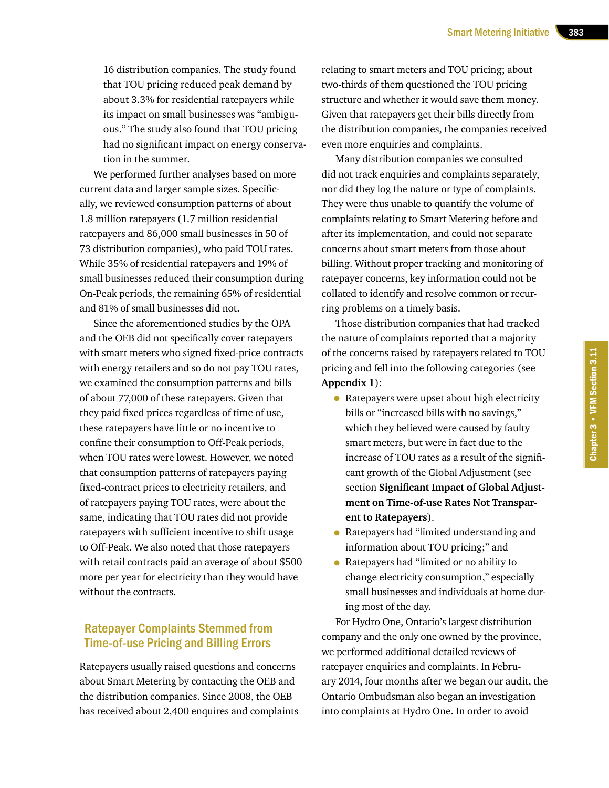16 distribution companies. The study found that TOU pricing reduced peak demand by about 3.3% for residential ratepayers while its impact on small businesses was "ambiguous." The study also found that TOU pricing had no significant impact on energy conservation in the summer.

We performed further analyses based on more current data and larger sample sizes. Specifically, we reviewed consumption patterns of about 1.8 million ratepayers (1.7 million residential ratepayers and 86,000 small businesses in 50 of 73 distribution companies), who paid TOU rates. While 35% of residential ratepayers and 19% of small businesses reduced their consumption during On-Peak periods, the remaining 65% of residential and 81% of small businesses did not.

Since the aforementioned studies by the OPA and the OEB did not specifically cover ratepayers with smart meters who signed fixed-price contracts with energy retailers and so do not pay TOU rates, we examined the consumption patterns and bills of about 77,000 of these ratepayers. Given that they paid fixed prices regardless of time of use, these ratepayers have little or no incentive to confine their consumption to Off-Peak periods, when TOU rates were lowest. However, we noted that consumption patterns of ratepayers paying fixed-contract prices to electricity retailers, and of ratepayers paying TOU rates, were about the same, indicating that TOU rates did not provide ratepayers with sufficient incentive to shift usage to Off-Peak. We also noted that those ratepayers with retail contracts paid an average of about \$500 more per year for electricity than they would have without the contracts.

### Ratepayer Complaints Stemmed from Time-of-use Pricing and Billing Errors

Ratepayers usually raised questions and concerns about Smart Metering by contacting the OEB and the distribution companies. Since 2008, the OEB has received about 2,400 enquires and complaints

relating to smart meters and TOU pricing; about two-thirds of them questioned the TOU pricing structure and whether it would save them money. Given that ratepayers get their bills directly from the distribution companies, the companies received even more enquiries and complaints.

Many distribution companies we consulted did not track enquiries and complaints separately, nor did they log the nature or type of complaints. They were thus unable to quantify the volume of complaints relating to Smart Metering before and after its implementation, and could not separate concerns about smart meters from those about billing. Without proper tracking and monitoring of ratepayer concerns, key information could not be collated to identify and resolve common or recurring problems on a timely basis.

Those distribution companies that had tracked the nature of complaints reported that a majority of the concerns raised by ratepayers related to TOU pricing and fell into the following categories (see **Appendix 1**):

- Ratepayers were upset about high electricity bills or "increased bills with no savings," which they believed were caused by faulty smart meters, but were in fact due to the increase of TOU rates as a result of the significant growth of the Global Adjustment (see section **Significant Impact of Global Adjustment on Time-of-use Rates Not Transparent to Ratepayers**).
- Ratepayers had "limited understanding and information about TOU pricing;" and
- Ratepayers had "limited or no ability to change electricity consumption," especially small businesses and individuals at home during most of the day.

For Hydro One, Ontario's largest distribution company and the only one owned by the province, we performed additional detailed reviews of ratepayer enquiries and complaints. In February 2014, four months after we began our audit, the Ontario Ombudsman also began an investigation into complaints at Hydro One. In order to avoid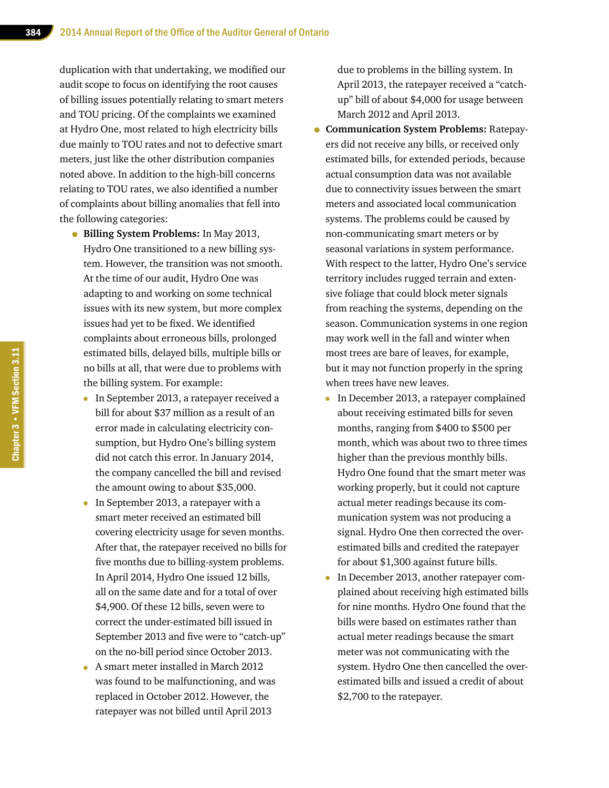duplication with that undertaking, we modified our audit scope to focus on identifying the root causes of billing issues potentially relating to smart meters and TOU pricing. Of the complaints we examined at Hydro One, most related to high electricity bills due mainly to TOU rates and not to defective smart meters, just like the other distribution companies noted above. In addition to the high-bill concerns relating to TOU rates, we also identified a number of complaints about billing anomalies that fell into the following categories:

- **Billing System Problems:** In May 2013, Hydro One transitioned to a new billing system. However, the transition was not smooth. At the time of our audit, Hydro One was adapting to and working on some technical issues with its new system, but more complex issues had yet to be fixed. We identified complaints about erroneous bills, prolonged estimated bills, delayed bills, multiple bills or no bills at all, that were due to problems with the billing system. For example:
	- In September 2013, a ratepayer received a bill for about \$37 million as a result of an error made in calculating electricity consumption, but Hydro One's billing system did not catch this error. In January 2014, the company cancelled the bill and revised the amount owing to about \$35,000.
	- In September 2013, a ratepayer with a smart meter received an estimated bill covering electricity usage for seven months. After that, the ratepayer received no bills for five months due to billing-system problems. In April 2014, Hydro One issued 12 bills, all on the same date and for a total of over \$4,900. Of these 12 bills, seven were to correct the under-estimated bill issued in September 2013 and five were to "catch-up" on the no-bill period since October 2013.
	- A smart meter installed in March 2012 was found to be malfunctioning, and was replaced in October 2012. However, the ratepayer was not billed until April 2013

due to problems in the billing system. In April 2013, the ratepayer received a "catchup" bill of about \$4,000 for usage between March 2012 and April 2013.

- **Communication System Problems:** Ratepayers did not receive any bills, or received only estimated bills, for extended periods, because actual consumption data was not available due to connectivity issues between the smart meters and associated local communication systems. The problems could be caused by non-communicating smart meters or by seasonal variations in system performance. With respect to the latter, Hydro One's service territory includes rugged terrain and extensive foliage that could block meter signals from reaching the systems, depending on the season. Communication systems in one region may work well in the fall and winter when most trees are bare of leaves, for example, but it may not function properly in the spring when trees have new leaves.
	- In December 2013, a ratepayer complained about receiving estimated bills for seven months, ranging from \$400 to \$500 per month, which was about two to three times higher than the previous monthly bills. Hydro One found that the smart meter was working properly, but it could not capture actual meter readings because its communication system was not producing a signal. Hydro One then corrected the overestimated bills and credited the ratepayer for about \$1,300 against future bills.
	- In December 2013, another ratepayer complained about receiving high estimated bills for nine months. Hydro One found that the bills were based on estimates rather than actual meter readings because the smart meter was not communicating with the system. Hydro One then cancelled the overestimated bills and issued a credit of about \$2,700 to the ratepayer.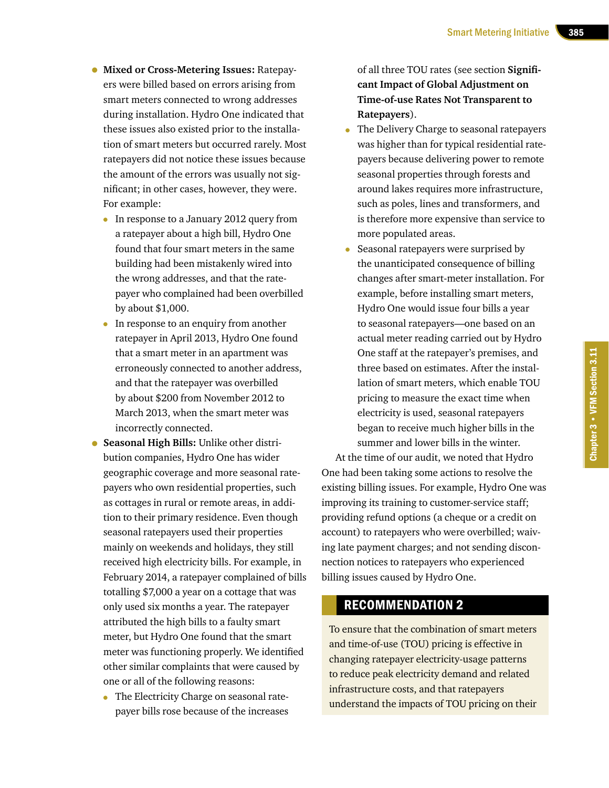- **Mixed or Cross-Metering Issues:** Ratepayers were billed based on errors arising from smart meters connected to wrong addresses during installation. Hydro One indicated that these issues also existed prior to the installation of smart meters but occurred rarely. Most ratepayers did not notice these issues because the amount of the errors was usually not significant; in other cases, however, they were. For example:
	- In response to a January 2012 query from a ratepayer about a high bill, Hydro One found that four smart meters in the same building had been mistakenly wired into the wrong addresses, and that the ratepayer who complained had been overbilled by about \$1,000.
	- In response to an enquiry from another ratepayer in April 2013, Hydro One found that a smart meter in an apartment was erroneously connected to another address, and that the ratepayer was overbilled by about \$200 from November 2012 to March 2013, when the smart meter was incorrectly connected.
- **Seasonal High Bills:** Unlike other distribution companies, Hydro One has wider geographic coverage and more seasonal ratepayers who own residential properties, such as cottages in rural or remote areas, in addition to their primary residence. Even though seasonal ratepayers used their properties mainly on weekends and holidays, they still received high electricity bills. For example, in February 2014, a ratepayer complained of bills totalling \$7,000 a year on a cottage that was only used six months a year. The ratepayer attributed the high bills to a faulty smart meter, but Hydro One found that the smart meter was functioning properly. We identified other similar complaints that were caused by one or all of the following reasons:
	- The Electricity Charge on seasonal ratepayer bills rose because of the increases

of all three TOU rates (see section **Significant Impact of Global Adjustment on Time-of-use Rates Not Transparent to Ratepayers**).

- The Delivery Charge to seasonal ratepayers was higher than for typical residential ratepayers because delivering power to remote seasonal properties through forests and around lakes requires more infrastructure, such as poles, lines and transformers, and is therefore more expensive than service to more populated areas.
- Seasonal ratepayers were surprised by the unanticipated consequence of billing changes after smart-meter installation. For example, before installing smart meters, Hydro One would issue four bills a year to seasonal ratepayers—one based on an actual meter reading carried out by Hydro One staff at the ratepayer's premises, and three based on estimates. After the installation of smart meters, which enable TOU pricing to measure the exact time when electricity is used, seasonal ratepayers began to receive much higher bills in the summer and lower bills in the winter.

At the time of our audit, we noted that Hydro One had been taking some actions to resolve the existing billing issues. For example, Hydro One was improving its training to customer-service staff; providing refund options (a cheque or a credit on account) to ratepayers who were overbilled; waiving late payment charges; and not sending disconnection notices to ratepayers who experienced billing issues caused by Hydro One.

# RECOMMENDATION 2

To ensure that the combination of smart meters and time-of-use (TOU) pricing is effective in changing ratepayer electricity-usage patterns to reduce peak electricity demand and related infrastructure costs, and that ratepayers understand the impacts of TOU pricing on their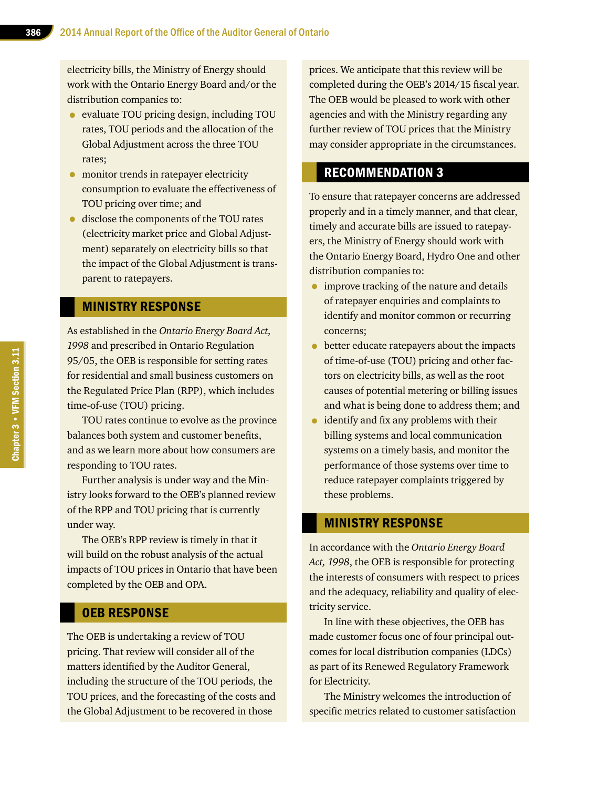electricity bills, the Ministry of Energy should work with the Ontario Energy Board and/or the distribution companies to:

- evaluate TOU pricing design, including TOU rates, TOU periods and the allocation of the Global Adjustment across the three TOU rates;
- monitor trends in ratepayer electricity consumption to evaluate the effectiveness of TOU pricing over time; and
- disclose the components of the TOU rates (electricity market price and Global Adjustment) separately on electricity bills so that the impact of the Global Adjustment is transparent to ratepayers.

#### MINISTRY RESPONSE

As established in the *Ontario Energy Board Act, 1998* and prescribed in Ontario Regulation 95/05, the OEB is responsible for setting rates for residential and small business customers on the Regulated Price Plan (RPP), which includes time-of-use (TOU) pricing.

TOU rates continue to evolve as the province balances both system and customer benefits, and as we learn more about how consumers are responding to TOU rates.

Further analysis is under way and the Ministry looks forward to the OEB's planned review of the RPP and TOU pricing that is currently under way.

The OEB's RPP review is timely in that it will build on the robust analysis of the actual impacts of TOU prices in Ontario that have been completed by the OEB and OPA.

#### OEB RESPONSE

The OEB is undertaking a review of TOU pricing. That review will consider all of the matters identified by the Auditor General, including the structure of the TOU periods, the TOU prices, and the forecasting of the costs and the Global Adjustment to be recovered in those

prices. We anticipate that this review will be completed during the OEB's 2014/15 fiscal year. The OEB would be pleased to work with other agencies and with the Ministry regarding any further review of TOU prices that the Ministry may consider appropriate in the circumstances.

## RECOMMENDATION 3

To ensure that ratepayer concerns are addressed properly and in a timely manner, and that clear, timely and accurate bills are issued to ratepayers, the Ministry of Energy should work with the Ontario Energy Board, Hydro One and other distribution companies to:

- improve tracking of the nature and details of ratepayer enquiries and complaints to identify and monitor common or recurring concerns;
- better educate ratepayers about the impacts of time-of-use (TOU) pricing and other factors on electricity bills, as well as the root causes of potential metering or billing issues and what is being done to address them; and
- identify and fix any problems with their billing systems and local communication systems on a timely basis, and monitor the performance of those systems over time to reduce ratepayer complaints triggered by these problems.

#### MINISTRY RESPONSE

In accordance with the *Ontario Energy Board Act, 1998*, the OEB is responsible for protecting the interests of consumers with respect to prices and the adequacy, reliability and quality of electricity service.

In line with these objectives, the OEB has made customer focus one of four principal outcomes for local distribution companies (LDCs) as part of its Renewed Regulatory Framework for Electricity.

The Ministry welcomes the introduction of specific metrics related to customer satisfaction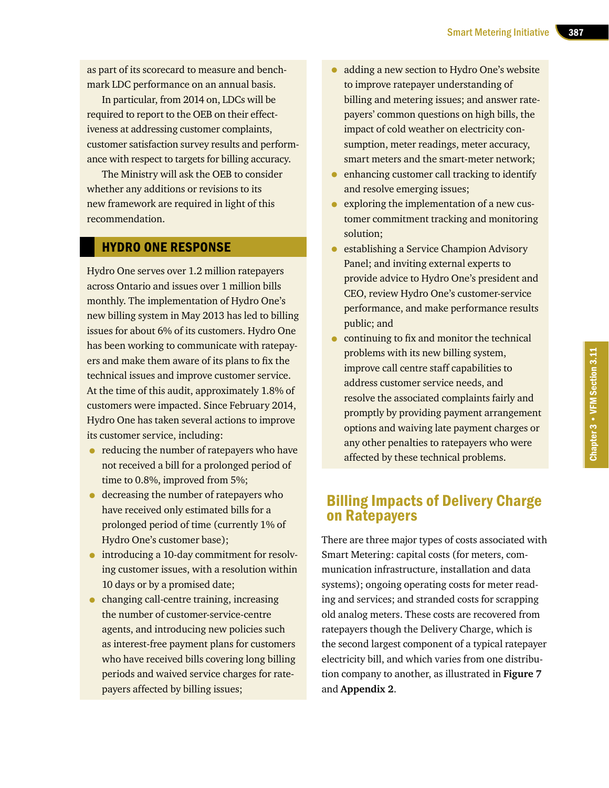as part of its scorecard to measure and benchmark LDC performance on an annual basis.

In particular, from 2014 on, LDCs will be required to report to the OEB on their effectiveness at addressing customer complaints, customer satisfaction survey results and performance with respect to targets for billing accuracy.

The Ministry will ask the OEB to consider whether any additions or revisions to its new framework are required in light of this recommendation.

#### HYDRO ONE RESPONSE

Hydro One serves over 1.2 million ratepayers across Ontario and issues over 1 million bills monthly. The implementation of Hydro One's new billing system in May 2013 has led to billing issues for about 6% of its customers. Hydro One has been working to communicate with ratepayers and make them aware of its plans to fix the technical issues and improve customer service. At the time of this audit, approximately 1.8% of customers were impacted. Since February 2014, Hydro One has taken several actions to improve its customer service, including:

- reducing the number of ratepayers who have not received a bill for a prolonged period of time to 0.8%, improved from 5%;
- decreasing the number of ratepayers who have received only estimated bills for a prolonged period of time (currently 1% of Hydro One's customer base);
- introducing a 10-day commitment for resolving customer issues, with a resolution within 10 days or by a promised date;
- changing call-centre training, increasing the number of customer-service-centre agents, and introducing new policies such as interest-free payment plans for customers who have received bills covering long billing periods and waived service charges for ratepayers affected by billing issues;
- adding a new section to Hydro One's website to improve ratepayer understanding of billing and metering issues; and answer ratepayers' common questions on high bills, the impact of cold weather on electricity consumption, meter readings, meter accuracy, smart meters and the smart-meter network;
- enhancing customer call tracking to identify and resolve emerging issues;
- exploring the implementation of a new customer commitment tracking and monitoring solution;
- establishing a Service Champion Advisory Panel; and inviting external experts to provide advice to Hydro One's president and CEO, review Hydro One's customer-service performance, and make performance results public; and
- continuing to fix and monitor the technical problems with its new billing system, improve call centre staff capabilities to address customer service needs, and resolve the associated complaints fairly and promptly by providing payment arrangement options and waiving late payment charges or any other penalties to ratepayers who were affected by these technical problems.

# Billing Impacts of Delivery Charge on Ratepayers

There are three major types of costs associated with Smart Metering: capital costs (for meters, communication infrastructure, installation and data systems); ongoing operating costs for meter reading and services; and stranded costs for scrapping old analog meters. These costs are recovered from ratepayers though the Delivery Charge, which is the second largest component of a typical ratepayer electricity bill, and which varies from one distribution company to another, as illustrated in **Figure 7** and **Appendix 2**.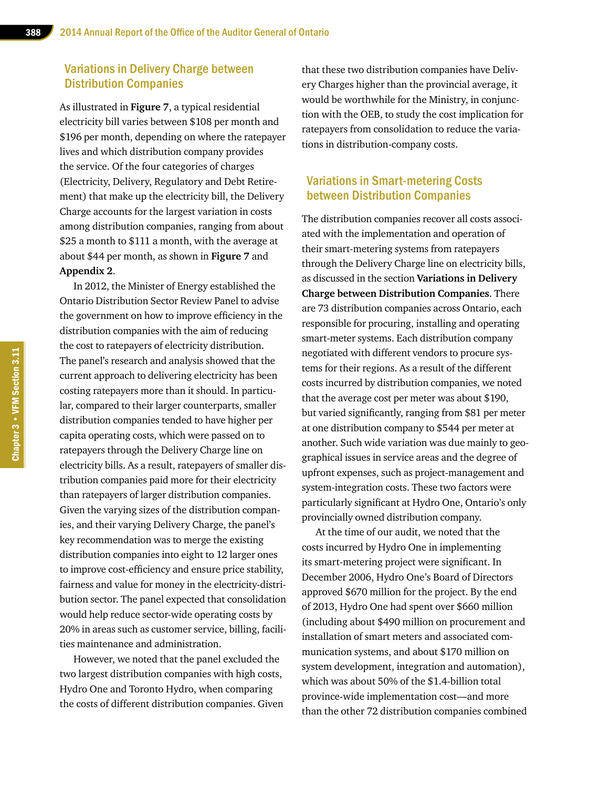#### Variations in Delivery Charge between Distribution Companies

As illustrated in **Figure 7**, a typical residential electricity bill varies between \$108 per month and \$196 per month, depending on where the ratepayer lives and which distribution company provides the service. Of the four categories of charges (Electricity, Delivery, Regulatory and Debt Retirement) that make up the electricity bill, the Delivery Charge accounts for the largest variation in costs among distribution companies, ranging from about \$25 a month to \$111 a month, with the average at about \$44 per month, as shown in **Figure 7** and **Appendix 2**.

In 2012, the Minister of Energy established the Ontario Distribution Sector Review Panel to advise the government on how to improve efficiency in the distribution companies with the aim of reducing the cost to ratepayers of electricity distribution. The panel's research and analysis showed that the current approach to delivering electricity has been costing ratepayers more than it should. In particular, compared to their larger counterparts, smaller distribution companies tended to have higher per capita operating costs, which were passed on to ratepayers through the Delivery Charge line on electricity bills. As a result, ratepayers of smaller distribution companies paid more for their electricity than ratepayers of larger distribution companies. Given the varying sizes of the distribution companies, and their varying Delivery Charge, the panel's key recommendation was to merge the existing distribution companies into eight to 12 larger ones to improve cost-efficiency and ensure price stability, fairness and value for money in the electricity-distribution sector. The panel expected that consolidation would help reduce sector-wide operating costs by 20% in areas such as customer service, billing, facilities maintenance and administration.

However, we noted that the panel excluded the two largest distribution companies with high costs, Hydro One and Toronto Hydro, when comparing the costs of different distribution companies. Given that these two distribution companies have Delivery Charges higher than the provincial average, it would be worthwhile for the Ministry, in conjunction with the OEB, to study the cost implication for ratepayers from consolidation to reduce the variations in distribution-company costs.

#### Variations in Smart-metering Costs between Distribution Companies

The distribution companies recover all costs associated with the implementation and operation of their smart-metering systems from ratepayers through the Delivery Charge line on electricity bills, as discussed in the section **Variations in Delivery Charge between Distribution Companies**. There are 73 distribution companies across Ontario, each responsible for procuring, installing and operating smart-meter systems. Each distribution company negotiated with different vendors to procure systems for their regions. As a result of the different costs incurred by distribution companies, we noted that the average cost per meter was about \$190, but varied significantly, ranging from \$81 per meter at one distribution company to \$544 per meter at another. Such wide variation was due mainly to geographical issues in service areas and the degree of upfront expenses, such as project-management and system-integration costs. These two factors were particularly significant at Hydro One, Ontario's only provincially owned distribution company.

At the time of our audit, we noted that the costs incurred by Hydro One in implementing its smart-metering project were significant. In December 2006, Hydro One's Board of Directors approved \$670 million for the project. By the end of 2013, Hydro One had spent over \$660 million (including about \$490 million on procurement and installation of smart meters and associated communication systems, and about \$170 million on system development, integration and automation), which was about 50% of the \$1.4-billion total province-wide implementation cost—and more than the other 72 distribution companies combined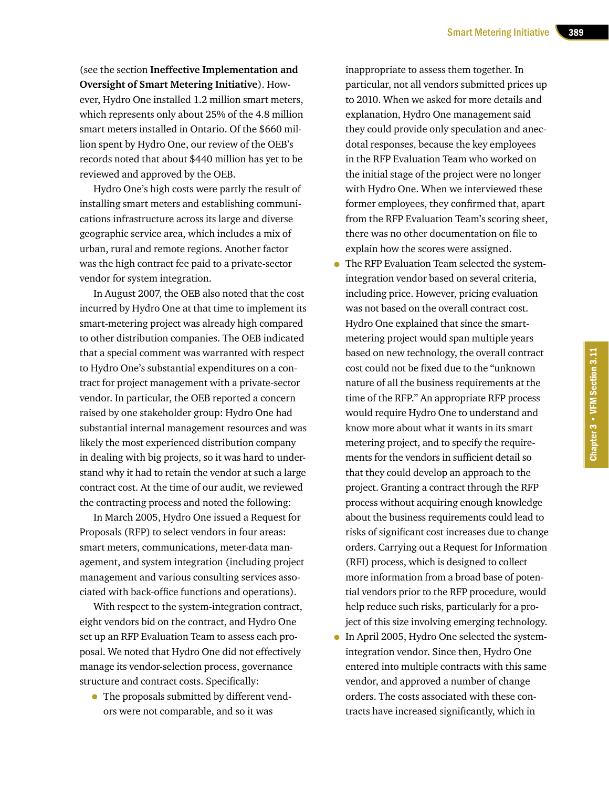(see the section **Ineffective Implementation and Oversight of Smart Metering Initiative**). However, Hydro One installed 1.2 million smart meters, which represents only about 25% of the 4.8 million smart meters installed in Ontario. Of the \$660 million spent by Hydro One, our review of the OEB's records noted that about \$440 million has yet to be reviewed and approved by the OEB.

Hydro One's high costs were partly the result of installing smart meters and establishing communications infrastructure across its large and diverse geographic service area, which includes a mix of urban, rural and remote regions. Another factor was the high contract fee paid to a private-sector vendor for system integration.

In August 2007, the OEB also noted that the cost incurred by Hydro One at that time to implement its smart-metering project was already high compared to other distribution companies. The OEB indicated that a special comment was warranted with respect to Hydro One's substantial expenditures on a contract for project management with a private-sector vendor. In particular, the OEB reported a concern raised by one stakeholder group: Hydro One had substantial internal management resources and was likely the most experienced distribution company in dealing with big projects, so it was hard to understand why it had to retain the vendor at such a large contract cost. At the time of our audit, we reviewed the contracting process and noted the following:

In March 2005, Hydro One issued a Request for Proposals (RFP) to select vendors in four areas: smart meters, communications, meter-data management, and system integration (including project management and various consulting services associated with back-office functions and operations).

With respect to the system-integration contract, eight vendors bid on the contract, and Hydro One set up an RFP Evaluation Team to assess each proposal. We noted that Hydro One did not effectively manage its vendor-selection process, governance structure and contract costs. Specifically:

• The proposals submitted by different vendors were not comparable, and so it was

inappropriate to assess them together. In particular, not all vendors submitted prices up to 2010. When we asked for more details and explanation, Hydro One management said they could provide only speculation and anecdotal responses, because the key employees in the RFP Evaluation Team who worked on the initial stage of the project were no longer with Hydro One. When we interviewed these former employees, they confirmed that, apart from the RFP Evaluation Team's scoring sheet, there was no other documentation on file to explain how the scores were assigned.

- The RFP Evaluation Team selected the systemintegration vendor based on several criteria, including price. However, pricing evaluation was not based on the overall contract cost. Hydro One explained that since the smartmetering project would span multiple years based on new technology, the overall contract cost could not be fixed due to the "unknown nature of all the business requirements at the time of the RFP." An appropriate RFP process would require Hydro One to understand and know more about what it wants in its smart metering project, and to specify the requirements for the vendors in sufficient detail so that they could develop an approach to the project. Granting a contract through the RFP process without acquiring enough knowledge about the business requirements could lead to risks of significant cost increases due to change orders. Carrying out a Request for Information (RFI) process, which is designed to collect more information from a broad base of potential vendors prior to the RFP procedure, would help reduce such risks, particularly for a project of this size involving emerging technology.
- In April 2005, Hydro One selected the systemintegration vendor. Since then, Hydro One entered into multiple contracts with this same vendor, and approved a number of change orders. The costs associated with these contracts have increased significantly, which in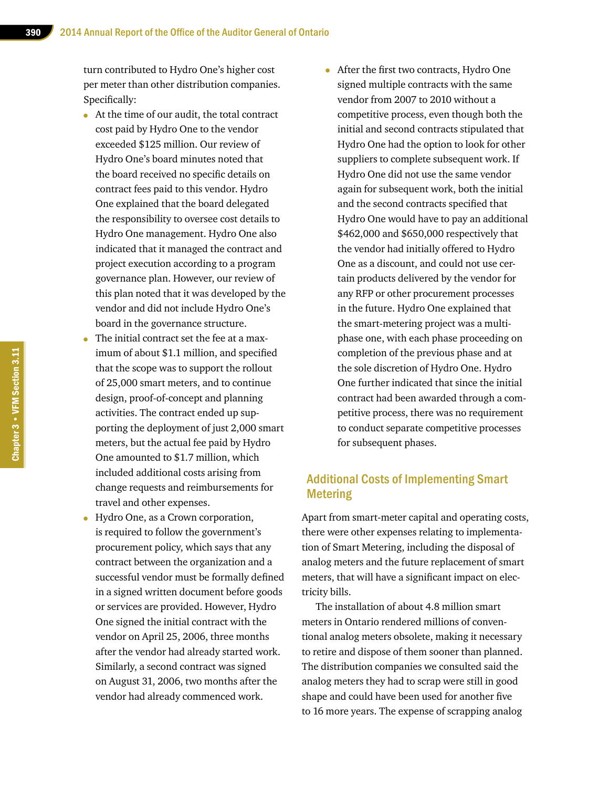turn contributed to Hydro One's higher cost per meter than other distribution companies. Specifically:

- At the time of our audit, the total contract cost paid by Hydro One to the vendor exceeded \$125 million. Our review of Hydro One's board minutes noted that the board received no specific details on contract fees paid to this vendor. Hydro One explained that the board delegated the responsibility to oversee cost details to Hydro One management. Hydro One also indicated that it managed the contract and project execution according to a program governance plan. However, our review of this plan noted that it was developed by the vendor and did not include Hydro One's board in the governance structure.
- The initial contract set the fee at a maximum of about \$1.1 million, and specified that the scope was to support the rollout of 25,000 smart meters, and to continue design, proof-of-concept and planning activities. The contract ended up supporting the deployment of just 2,000 smart meters, but the actual fee paid by Hydro One amounted to \$1.7 million, which included additional costs arising from change requests and reimbursements for travel and other expenses.
- Hydro One, as a Crown corporation, is required to follow the government's procurement policy, which says that any contract between the organization and a successful vendor must be formally defined in a signed written document before goods or services are provided. However, Hydro One signed the initial contract with the vendor on April 25, 2006, three months after the vendor had already started work. Similarly, a second contract was signed on August 31, 2006, two months after the vendor had already commenced work.
- After the first two contracts, Hydro One signed multiple contracts with the same vendor from 2007 to 2010 without a competitive process, even though both the initial and second contracts stipulated that Hydro One had the option to look for other suppliers to complete subsequent work. If Hydro One did not use the same vendor again for subsequent work, both the initial and the second contracts specified that Hydro One would have to pay an additional \$462,000 and \$650,000 respectively that the vendor had initially offered to Hydro One as a discount, and could not use certain products delivered by the vendor for any RFP or other procurement processes in the future. Hydro One explained that the smart-metering project was a multiphase one, with each phase proceeding on completion of the previous phase and at the sole discretion of Hydro One. Hydro One further indicated that since the initial contract had been awarded through a competitive process, there was no requirement to conduct separate competitive processes for subsequent phases.

#### Additional Costs of Implementing Smart Metering

Apart from smart-meter capital and operating costs, there were other expenses relating to implementation of Smart Metering, including the disposal of analog meters and the future replacement of smart meters, that will have a significant impact on electricity bills.

The installation of about 4.8 million smart meters in Ontario rendered millions of conventional analog meters obsolete, making it necessary to retire and dispose of them sooner than planned. The distribution companies we consulted said the analog meters they had to scrap were still in good shape and could have been used for another five to 16 more years. The expense of scrapping analog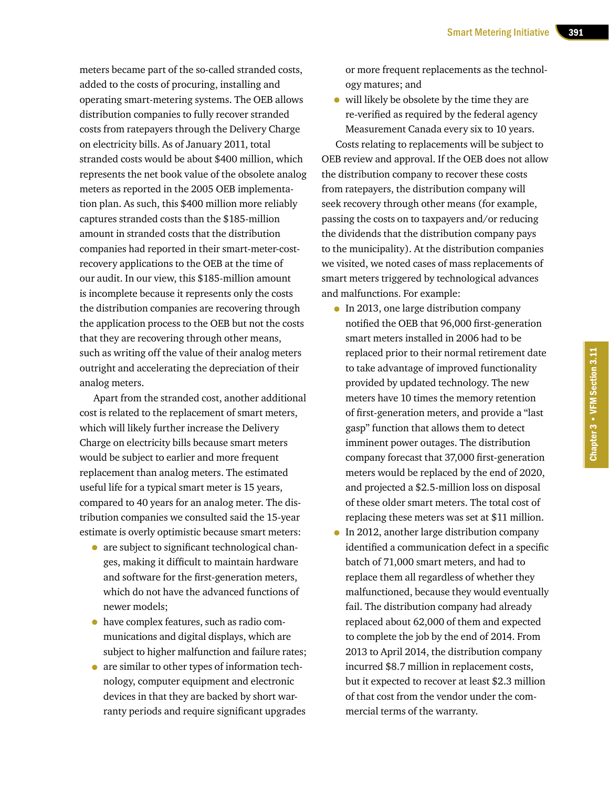meters became part of the so-called stranded costs, added to the costs of procuring, installing and operating smart-metering systems. The OEB allows distribution companies to fully recover stranded costs from ratepayers through the Delivery Charge on electricity bills. As of January 2011, total stranded costs would be about \$400 million, which represents the net book value of the obsolete analog meters as reported in the 2005 OEB implementation plan. As such, this \$400 million more reliably captures stranded costs than the \$185-million amount in stranded costs that the distribution companies had reported in their smart-meter-costrecovery applications to the OEB at the time of our audit. In our view, this \$185-million amount is incomplete because it represents only the costs the distribution companies are recovering through the application process to the OEB but not the costs that they are recovering through other means, such as writing off the value of their analog meters outright and accelerating the depreciation of their analog meters.

Apart from the stranded cost, another additional cost is related to the replacement of smart meters, which will likely further increase the Delivery Charge on electricity bills because smart meters would be subject to earlier and more frequent replacement than analog meters. The estimated useful life for a typical smart meter is 15 years, compared to 40 years for an analog meter. The distribution companies we consulted said the 15-year estimate is overly optimistic because smart meters:

- are subject to significant technological changes, making it difficult to maintain hardware and software for the first-generation meters, which do not have the advanced functions of newer models;
- have complex features, such as radio communications and digital displays, which are subject to higher malfunction and failure rates;
- are similar to other types of information technology, computer equipment and electronic devices in that they are backed by short warranty periods and require significant upgrades

or more frequent replacements as the technology matures; and

• will likely be obsolete by the time they are re-verified as required by the federal agency Measurement Canada every six to 10 years.

Costs relating to replacements will be subject to OEB review and approval. If the OEB does not allow the distribution company to recover these costs from ratepayers, the distribution company will seek recovery through other means (for example, passing the costs on to taxpayers and/or reducing the dividends that the distribution company pays to the municipality). At the distribution companies we visited, we noted cases of mass replacements of smart meters triggered by technological advances and malfunctions. For example:

- In 2013, one large distribution company notified the OEB that 96,000 first-generation smart meters installed in 2006 had to be replaced prior to their normal retirement date to take advantage of improved functionality provided by updated technology. The new meters have 10 times the memory retention of first-generation meters, and provide a "last gasp" function that allows them to detect imminent power outages. The distribution company forecast that 37,000 first-generation meters would be replaced by the end of 2020, and projected a \$2.5-million loss on disposal of these older smart meters. The total cost of replacing these meters was set at \$11 million.
- In 2012, another large distribution company identified a communication defect in a specific batch of 71,000 smart meters, and had to replace them all regardless of whether they malfunctioned, because they would eventually fail. The distribution company had already replaced about 62,000 of them and expected to complete the job by the end of 2014. From 2013 to April 2014, the distribution company incurred \$8.7 million in replacement costs, but it expected to recover at least \$2.3 million of that cost from the vendor under the commercial terms of the warranty.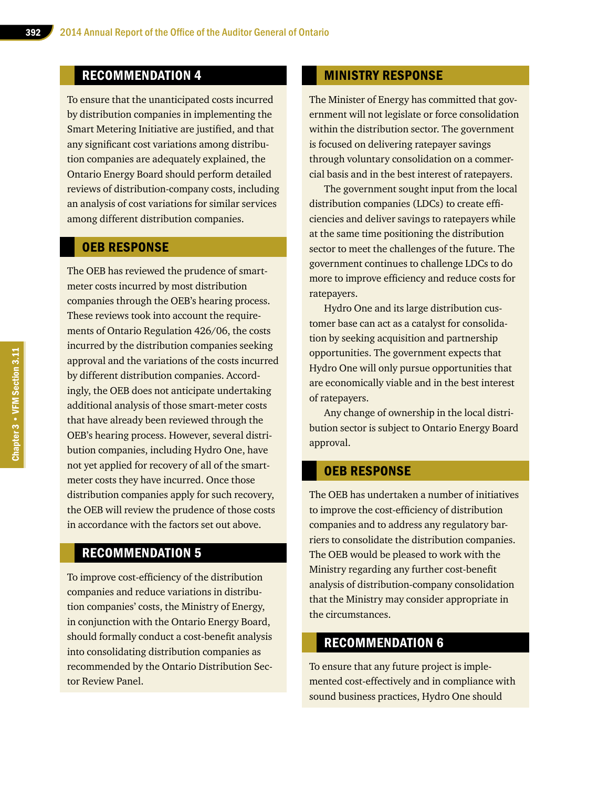# RECOMMENDATION 4

To ensure that the unanticipated costs incurred by distribution companies in implementing the Smart Metering Initiative are justified, and that any significant cost variations among distribution companies are adequately explained, the Ontario Energy Board should perform detailed reviews of distribution-company costs, including an analysis of cost variations for similar services among different distribution companies.

#### OEB RESPONSE

The OEB has reviewed the prudence of smartmeter costs incurred by most distribution companies through the OEB's hearing process. These reviews took into account the requirements of Ontario Regulation 426/06, the costs incurred by the distribution companies seeking approval and the variations of the costs incurred by different distribution companies. Accordingly, the OEB does not anticipate undertaking additional analysis of those smart-meter costs that have already been reviewed through the OEB's hearing process. However, several distribution companies, including Hydro One, have not yet applied for recovery of all of the smartmeter costs they have incurred. Once those distribution companies apply for such recovery, the OEB will review the prudence of those costs in accordance with the factors set out above.

#### RECOMMENDATION 5

To improve cost-efficiency of the distribution companies and reduce variations in distribution companies' costs, the Ministry of Energy, in conjunction with the Ontario Energy Board, should formally conduct a cost-benefit analysis into consolidating distribution companies as recommended by the Ontario Distribution Sector Review Panel.

#### MINISTRY RESPONSE

The Minister of Energy has committed that government will not legislate or force consolidation within the distribution sector. The government is focused on delivering ratepayer savings through voluntary consolidation on a commercial basis and in the best interest of ratepayers.

The government sought input from the local distribution companies (LDCs) to create efficiencies and deliver savings to ratepayers while at the same time positioning the distribution sector to meet the challenges of the future. The government continues to challenge LDCs to do more to improve efficiency and reduce costs for ratepayers.

Hydro One and its large distribution customer base can act as a catalyst for consolidation by seeking acquisition and partnership opportunities. The government expects that Hydro One will only pursue opportunities that are economically viable and in the best interest of ratepayers.

Any change of ownership in the local distribution sector is subject to Ontario Energy Board approval.

#### OEB RESPONSE

The OEB has undertaken a number of initiatives to improve the cost-efficiency of distribution companies and to address any regulatory barriers to consolidate the distribution companies. The OEB would be pleased to work with the Ministry regarding any further cost-benefit analysis of distribution-company consolidation that the Ministry may consider appropriate in the circumstances.

# RECOMMENDATION 6

To ensure that any future project is implemented cost-effectively and in compliance with sound business practices, Hydro One should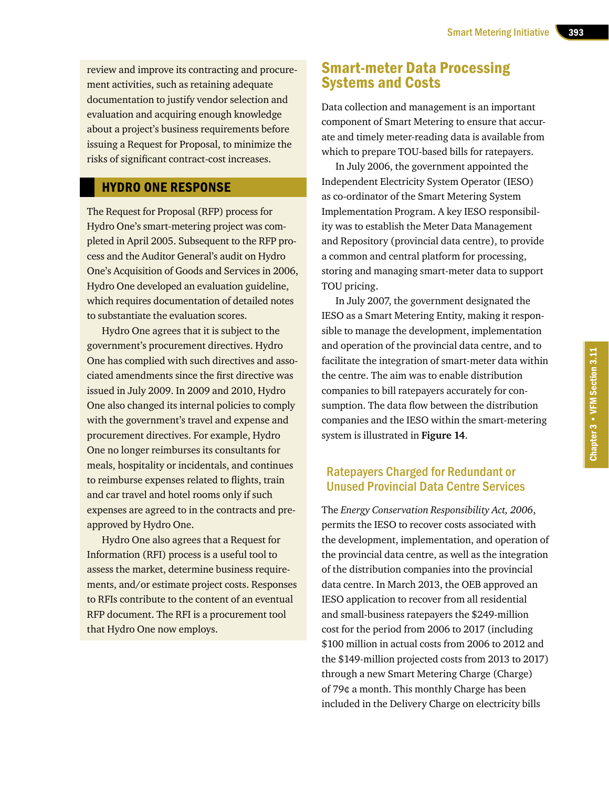review and improve its contracting and procurement activities, such as retaining adequate documentation to justify vendor selection and evaluation and acquiring enough knowledge about a project's business requirements before issuing a Request for Proposal, to minimize the risks of significant contract-cost increases.

#### HYDRO ONE RESPONSE

The Request for Proposal (RFP) process for Hydro One's smart-metering project was completed in April 2005. Subsequent to the RFP process and the Auditor General's audit on Hydro One's Acquisition of Goods and Services in 2006, Hydro One developed an evaluation guideline, which requires documentation of detailed notes to substantiate the evaluation scores.

Hydro One agrees that it is subject to the government's procurement directives. Hydro One has complied with such directives and associated amendments since the first directive was issued in July 2009. In 2009 and 2010, Hydro One also changed its internal policies to comply with the government's travel and expense and procurement directives. For example, Hydro One no longer reimburses its consultants for meals, hospitality or incidentals, and continues to reimburse expenses related to flights, train and car travel and hotel rooms only if such expenses are agreed to in the contracts and preapproved by Hydro One.

Hydro One also agrees that a Request for Information (RFI) process is a useful tool to assess the market, determine business requirements, and/or estimate project costs. Responses to RFIs contribute to the content of an eventual RFP document. The RFI is a procurement tool that Hydro One now employs.

# Smart-meter Data Processing Systems and Costs

Data collection and management is an important component of Smart Metering to ensure that accurate and timely meter-reading data is available from which to prepare TOU-based bills for ratepayers.

In July 2006, the government appointed the Independent Electricity System Operator (IESO) as co-ordinator of the Smart Metering System Implementation Program. A key IESO responsibility was to establish the Meter Data Management and Repository (provincial data centre), to provide a common and central platform for processing, storing and managing smart-meter data to support TOU pricing.

In July 2007, the government designated the IESO as a Smart Metering Entity, making it responsible to manage the development, implementation and operation of the provincial data centre, and to facilitate the integration of smart-meter data within the centre. The aim was to enable distribution companies to bill ratepayers accurately for consumption. The data flow between the distribution companies and the IESO within the smart-metering system is illustrated in **Figure 14**.

### Ratepayers Charged for Redundant or Unused Provincial Data Centre Services

The *Energy Conservation Responsibility Act, 2006*, permits the IESO to recover costs associated with the development, implementation, and operation of the provincial data centre, as well as the integration of the distribution companies into the provincial data centre. In March 2013, the OEB approved an IESO application to recover from all residential and small-business ratepayers the \$249-million cost for the period from 2006 to 2017 (including \$100 million in actual costs from 2006 to 2012 and the \$149-million projected costs from 2013 to 2017) through a new Smart Metering Charge (Charge) of 79¢ a month. This monthly Charge has been included in the Delivery Charge on electricity bills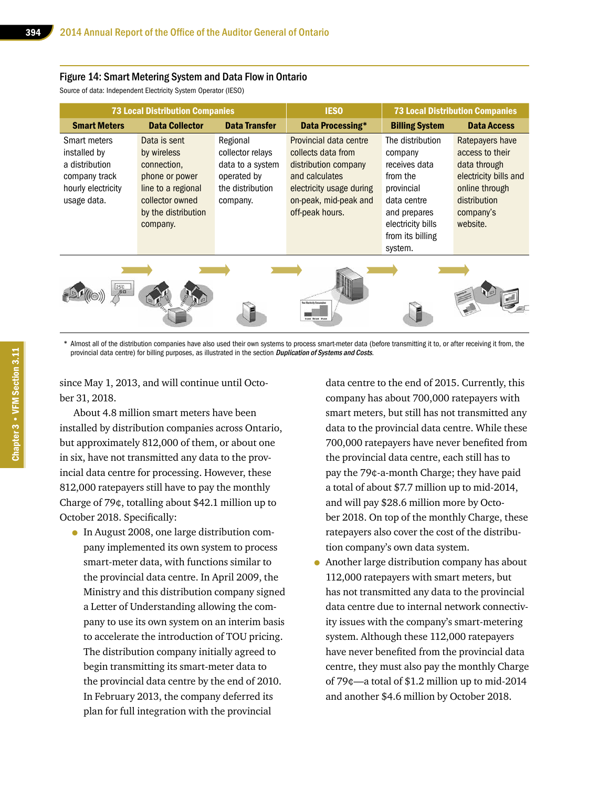#### Figure 14: Smart Metering System and Data Flow in Ontario

Source of data: Independent Electricity System Operator (IESO)

| <b>73 Local Distribution Companies</b>                                                               |                                                                                                                                          | <b>IESO</b>                                                                                     | <b>73 Local Distribution Companies</b>                                                                                                                         |                                                                                                                                                           |                                                                                                                                        |
|------------------------------------------------------------------------------------------------------|------------------------------------------------------------------------------------------------------------------------------------------|-------------------------------------------------------------------------------------------------|----------------------------------------------------------------------------------------------------------------------------------------------------------------|-----------------------------------------------------------------------------------------------------------------------------------------------------------|----------------------------------------------------------------------------------------------------------------------------------------|
| <b>Smart Meters</b>                                                                                  | <b>Data Collector</b>                                                                                                                    | <b>Data Transfer</b>                                                                            | Data Processing*                                                                                                                                               | <b>Billing System</b>                                                                                                                                     | <b>Data Access</b>                                                                                                                     |
| Smart meters<br>installed by<br>a distribution<br>company track<br>hourly electricity<br>usage data. | Data is sent<br>by wireless<br>connection,<br>phone or power<br>line to a regional<br>collector owned<br>by the distribution<br>company. | Regional<br>collector relays<br>data to a system<br>operated by<br>the distribution<br>company. | Provincial data centre<br>collects data from<br>distribution company<br>and calculates<br>electricity usage during<br>on-peak, mid-peak and<br>off-peak hours. | The distribution<br>company<br>receives data<br>from the<br>provincial<br>data centre<br>and prepares<br>electricity bills<br>from its billing<br>system. | Ratepayers have<br>access to their<br>data through<br>electricity bills and<br>online through<br>distribution<br>company's<br>website. |
| 25°C                                                                                                 |                                                                                                                                          |                                                                                                 |                                                                                                                                                                |                                                                                                                                                           |                                                                                                                                        |

\* Almost all of the distribution companies have also used their own systems to process smart-meter data (before transmitting it to, or after receiving it from, the provincial data centre) for billing purposes, as illustrated in the section *Duplication of Systems and Costs*.

since May 1, 2013, and will continue until October 31, 2018.

About 4.8 million smart meters have been installed by distribution companies across Ontario, but approximately 812,000 of them, or about one in six, have not transmitted any data to the provincial data centre for processing. However, these 812,000 ratepayers still have to pay the monthly Charge of 79¢, totalling about \$42.1 million up to October 2018. Specifically:

• In August 2008, one large distribution company implemented its own system to process smart-meter data, with functions similar to the provincial data centre. In April 2009, the Ministry and this distribution company signed a Letter of Understanding allowing the company to use its own system on an interim basis to accelerate the introduction of TOU pricing. The distribution company initially agreed to begin transmitting its smart-meter data to the provincial data centre by the end of 2010. In February 2013, the company deferred its plan for full integration with the provincial

data centre to the end of 2015. Currently, this company has about 700,000 ratepayers with smart meters, but still has not transmitted any data to the provincial data centre. While these 700,000 ratepayers have never benefited from the provincial data centre, each still has to pay the 79¢-a-month Charge; they have paid a total of about \$7.7 million up to mid-2014, and will pay \$28.6 million more by October 2018. On top of the monthly Charge, these ratepayers also cover the cost of the distribution company's own data system.

• Another large distribution company has about 112,000 ratepayers with smart meters, but has not transmitted any data to the provincial data centre due to internal network connectivity issues with the company's smart-metering system. Although these 112,000 ratepayers have never benefited from the provincial data centre, they must also pay the monthly Charge of 79¢—a total of \$1.2 million up to mid-2014 and another \$4.6 million by October 2018.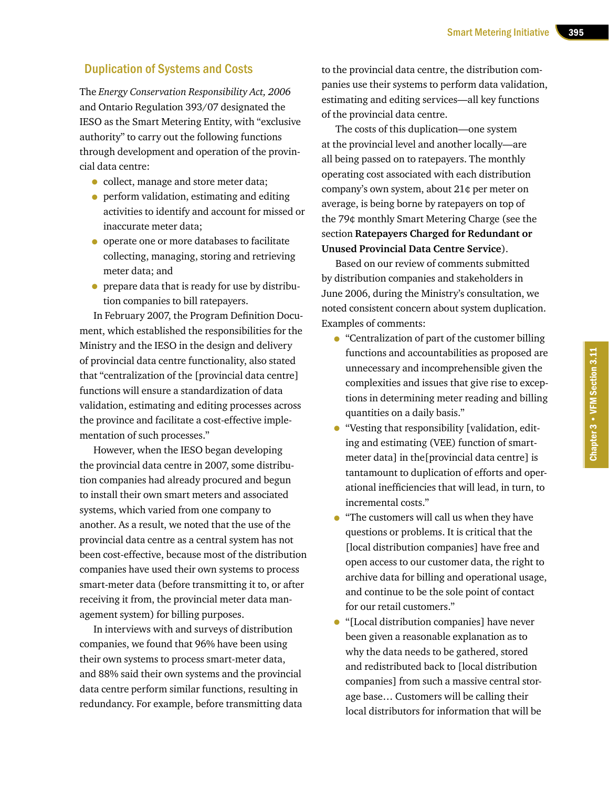#### Duplication of Systems and Costs

The *Energy Conservation Responsibility Act, 2006* and Ontario Regulation 393/07 designated the IESO as the Smart Metering Entity, with "exclusive authority" to carry out the following functions through development and operation of the provincial data centre:

- collect, manage and store meter data;
- perform validation, estimating and editing activities to identify and account for missed or inaccurate meter data;
- operate one or more databases to facilitate collecting, managing, storing and retrieving meter data; and
- prepare data that is ready for use by distribution companies to bill ratepayers.

In February 2007, the Program Definition Document, which established the responsibilities for the Ministry and the IESO in the design and delivery of provincial data centre functionality, also stated that "centralization of the [provincial data centre] functions will ensure a standardization of data validation, estimating and editing processes across the province and facilitate a cost-effective implementation of such processes."

However, when the IESO began developing the provincial data centre in 2007, some distribution companies had already procured and begun to install their own smart meters and associated systems, which varied from one company to another. As a result, we noted that the use of the provincial data centre as a central system has not been cost-effective, because most of the distribution companies have used their own systems to process smart-meter data (before transmitting it to, or after receiving it from, the provincial meter data management system) for billing purposes.

In interviews with and surveys of distribution companies, we found that 96% have been using their own systems to process smart-meter data, and 88% said their own systems and the provincial data centre perform similar functions, resulting in redundancy. For example, before transmitting data to the provincial data centre, the distribution companies use their systems to perform data validation, estimating and editing services—all key functions of the provincial data centre.

The costs of this duplication—one system at the provincial level and another locally—are all being passed on to ratepayers. The monthly operating cost associated with each distribution company's own system, about 21¢ per meter on average, is being borne by ratepayers on top of the 79¢ monthly Smart Metering Charge (see the section **Ratepayers Charged for Redundant or Unused Provincial Data Centre Service**).

Based on our review of comments submitted by distribution companies and stakeholders in June 2006, during the Ministry's consultation, we noted consistent concern about system duplication. Examples of comments:

- "Centralization of part of the customer billing functions and accountabilities as proposed are unnecessary and incomprehensible given the complexities and issues that give rise to exceptions in determining meter reading and billing quantities on a daily basis."
- "Vesting that responsibility [validation, editing and estimating (VEE) function of smartmeter data] in the[provincial data centre] is tantamount to duplication of efforts and operational inefficiencies that will lead, in turn, to incremental costs."
- "The customers will call us when they have questions or problems. It is critical that the [local distribution companies] have free and open access to our customer data, the right to archive data for billing and operational usage, and continue to be the sole point of contact for our retail customers."
- "[Local distribution companies] have never been given a reasonable explanation as to why the data needs to be gathered, stored and redistributed back to [local distribution companies] from such a massive central storage base… Customers will be calling their local distributors for information that will be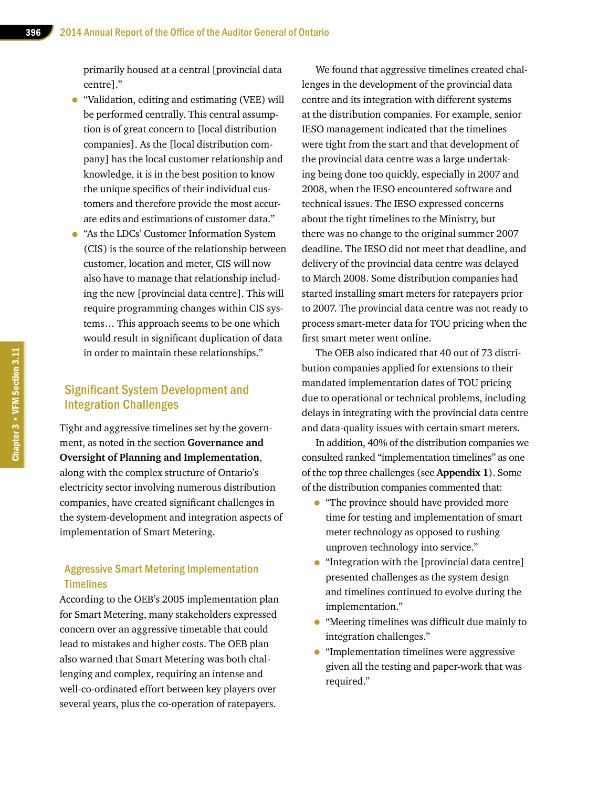primarily housed at a central [provincial data centre]."

- "Validation, editing and estimating (VEE) will be performed centrally. This central assumption is of great concern to [local distribution companies]. As the [local distribution company] has the local customer relationship and knowledge, it is in the best position to know the unique specifics of their individual customers and therefore provide the most accurate edits and estimations of customer data."
- "As the LDCs' Customer Information System (CIS) is the source of the relationship between customer, location and meter, CIS will now also have to manage that relationship including the new [provincial data centre]. This will require programming changes within CIS systems… This approach seems to be one which would result in significant duplication of data in order to maintain these relationships."

## Significant System Development and Integration Challenges

Tight and aggressive timelines set by the government, as noted in the section **Governance and Oversight of Planning and Implementation**, along with the complex structure of Ontario's electricity sector involving numerous distribution companies, have created significant challenges in the system-development and integration aspects of implementation of Smart Metering.

#### Aggressive Smart Metering Implementation **Timelines**

According to the OEB's 2005 implementation plan for Smart Metering, many stakeholders expressed concern over an aggressive timetable that could lead to mistakes and higher costs. The OEB plan also warned that Smart Metering was both challenging and complex, requiring an intense and well-co-ordinated effort between key players over several years, plus the co-operation of ratepayers.

We found that aggressive timelines created challenges in the development of the provincial data centre and its integration with different systems at the distribution companies. For example, senior IESO management indicated that the timelines were tight from the start and that development of the provincial data centre was a large undertaking being done too quickly, especially in 2007 and 2008, when the IESO encountered software and technical issues. The IESO expressed concerns about the tight timelines to the Ministry, but there was no change to the original summer 2007 deadline. The IESO did not meet that deadline, and delivery of the provincial data centre was delayed to March 2008. Some distribution companies had started installing smart meters for ratepayers prior to 2007. The provincial data centre was not ready to process smart-meter data for TOU pricing when the first smart meter went online.

The OEB also indicated that 40 out of 73 distribution companies applied for extensions to their mandated implementation dates of TOU pricing due to operational or technical problems, including delays in integrating with the provincial data centre and data-quality issues with certain smart meters.

In addition, 40% of the distribution companies we consulted ranked "implementation timelines" as one of the top three challenges (see **Appendix 1**). Some of the distribution companies commented that:

- "The province should have provided more time for testing and implementation of smart meter technology as opposed to rushing unproven technology into service."
- "Integration with the [provincial data centre] presented challenges as the system design and timelines continued to evolve during the implementation."
- "Meeting timelines was difficult due mainly to integration challenges."
- "Implementation timelines were aggressive given all the testing and paper-work that was required."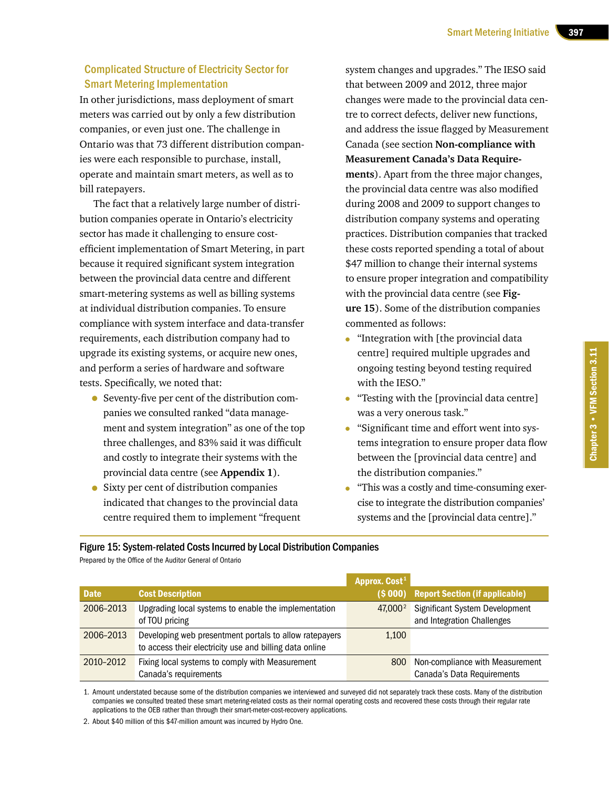#### Complicated Structure of Electricity Sector for Smart Metering Implementation

In other jurisdictions, mass deployment of smart meters was carried out by only a few distribution companies, or even just one. The challenge in Ontario was that 73 different distribution companies were each responsible to purchase, install, operate and maintain smart meters, as well as to bill ratepayers.

The fact that a relatively large number of distribution companies operate in Ontario's electricity sector has made it challenging to ensure costefficient implementation of Smart Metering, in part because it required significant system integration between the provincial data centre and different smart-metering systems as well as billing systems at individual distribution companies. To ensure compliance with system interface and data-transfer requirements, each distribution company had to upgrade its existing systems, or acquire new ones, and perform a series of hardware and software tests. Specifically, we noted that:

- Seventy-five per cent of the distribution companies we consulted ranked "data management and system integration" as one of the top three challenges, and 83% said it was difficult and costly to integrate their systems with the provincial data centre (see **Appendix 1**).
- Sixty per cent of distribution companies indicated that changes to the provincial data centre required them to implement "frequent

system changes and upgrades." The IESO said that between 2009 and 2012, three major changes were made to the provincial data centre to correct defects, deliver new functions, and address the issue flagged by Measurement Canada (see section **Non-compliance with Measurement Canada's Data Requirements**). Apart from the three major changes, the provincial data centre was also modified during 2008 and 2009 to support changes to distribution company systems and operating practices. Distribution companies that tracked these costs reported spending a total of about \$47 million to change their internal systems to ensure proper integration and compatibility with the provincial data centre (see **Figure 15**). Some of the distribution companies commented as follows:

- "Integration with [the provincial data centre] required multiple upgrades and ongoing testing beyond testing required with the IESO."
- "Testing with the [provincial data centre] was a very onerous task."
- "Significant time and effort went into systems integration to ensure proper data flow between the [provincial data centre] and the distribution companies."
- "This was a costly and time-consuming exercise to integrate the distribution companies' systems and the [provincial data centre]."

#### Figure 15: System-related Costs Incurred by Local Distribution Companies

Prepared by the Office of the Auditor General of Ontario

|             |                                                                                                                   | Approx. Cost <sup>1</sup> |                                                               |
|-------------|-------------------------------------------------------------------------------------------------------------------|---------------------------|---------------------------------------------------------------|
| <b>Date</b> | <b>Cost Description</b>                                                                                           |                           | (\$000) Report Section (if applicable)                        |
| 2006-2013   | Upgrading local systems to enable the implementation<br>of TOU pricing                                            | 47,000 <sup>2</sup>       | Significant System Development<br>and Integration Challenges  |
| 2006-2013   | Developing web presentment portals to allow ratepayers<br>to access their electricity use and billing data online | 1.100                     |                                                               |
| 2010-2012   | Fixing local systems to comply with Measurement<br>Canada's requirements                                          | 800                       | Non-compliance with Measurement<br>Canada's Data Requirements |

1. Amount understated because some of the distribution companies we interviewed and surveyed did not separately track these costs. Many of the distribution companies we consulted treated these smart metering-related costs as their normal operating costs and recovered these costs through their regular rate applications to the OEB rather than through their smart-meter-cost-recovery applications.

2. About \$40 million of this \$47-million amount was incurred by Hydro One.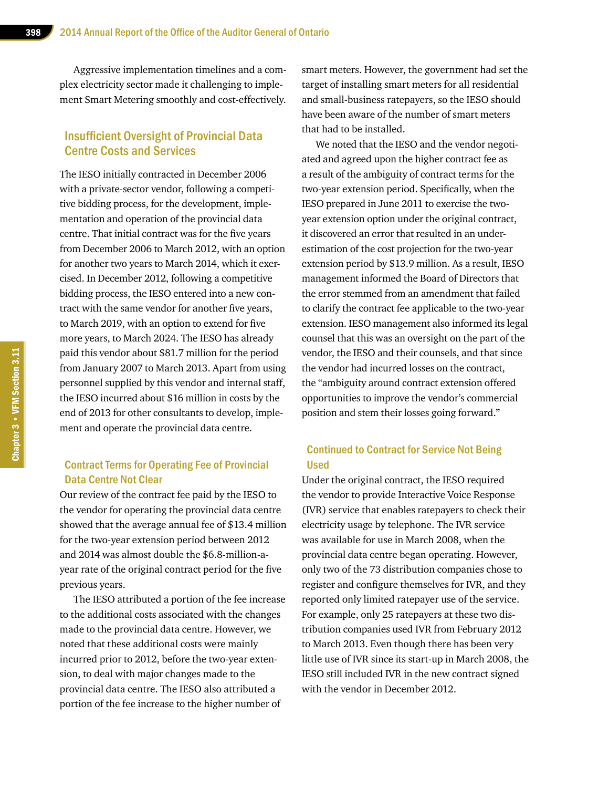Aggressive implementation timelines and a complex electricity sector made it challenging to implement Smart Metering smoothly and cost-effectively.

#### Insufficient Oversight of Provincial Data Centre Costs and Services

The IESO initially contracted in December 2006 with a private-sector vendor, following a competitive bidding process, for the development, implementation and operation of the provincial data centre. That initial contract was for the five years from December 2006 to March 2012, with an option for another two years to March 2014, which it exercised. In December 2012, following a competitive bidding process, the IESO entered into a new contract with the same vendor for another five years, to March 2019, with an option to extend for five more years, to March 2024. The IESO has already paid this vendor about \$81.7 million for the period from January 2007 to March 2013. Apart from using personnel supplied by this vendor and internal staff, the IESO incurred about \$16 million in costs by the end of 2013 for other consultants to develop, implement and operate the provincial data centre.

#### Contract Terms for Operating Fee of Provincial Data Centre Not Clear

Our review of the contract fee paid by the IESO to the vendor for operating the provincial data centre showed that the average annual fee of \$13.4 million for the two-year extension period between 2012 and 2014 was almost double the \$6.8-million-ayear rate of the original contract period for the five previous years.

The IESO attributed a portion of the fee increase to the additional costs associated with the changes made to the provincial data centre. However, we noted that these additional costs were mainly incurred prior to 2012, before the two-year extension, to deal with major changes made to the provincial data centre. The IESO also attributed a portion of the fee increase to the higher number of

smart meters. However, the government had set the target of installing smart meters for all residential and small-business ratepayers, so the IESO should have been aware of the number of smart meters that had to be installed.

We noted that the IESO and the vendor negotiated and agreed upon the higher contract fee as a result of the ambiguity of contract terms for the two-year extension period. Specifically, when the IESO prepared in June 2011 to exercise the twoyear extension option under the original contract, it discovered an error that resulted in an underestimation of the cost projection for the two-year extension period by \$13.9 million. As a result, IESO management informed the Board of Directors that the error stemmed from an amendment that failed to clarify the contract fee applicable to the two-year extension. IESO management also informed its legal counsel that this was an oversight on the part of the vendor, the IESO and their counsels, and that since the vendor had incurred losses on the contract, the "ambiguity around contract extension offered opportunities to improve the vendor's commercial position and stem their losses going forward."

#### Continued to Contract for Service Not Being Used

Under the original contract, the IESO required the vendor to provide Interactive Voice Response (IVR) service that enables ratepayers to check their electricity usage by telephone. The IVR service was available for use in March 2008, when the provincial data centre began operating. However, only two of the 73 distribution companies chose to register and configure themselves for IVR, and they reported only limited ratepayer use of the service. For example, only 25 ratepayers at these two distribution companies used IVR from February 2012 to March 2013. Even though there has been very little use of IVR since its start-up in March 2008, the IESO still included IVR in the new contract signed with the vendor in December 2012.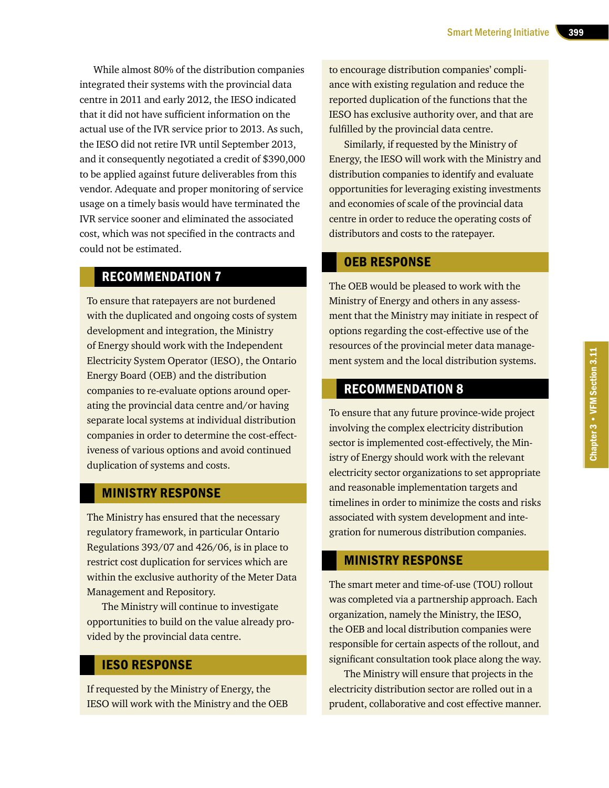While almost 80% of the distribution companies integrated their systems with the provincial data centre in 2011 and early 2012, the IESO indicated that it did not have sufficient information on the actual use of the IVR service prior to 2013. As such, the IESO did not retire IVR until September 2013, and it consequently negotiated a credit of \$390,000 to be applied against future deliverables from this vendor. Adequate and proper monitoring of service usage on a timely basis would have terminated the IVR service sooner and eliminated the associated cost, which was not specified in the contracts and could not be estimated.

### RECOMMENDATION 7

To ensure that ratepayers are not burdened with the duplicated and ongoing costs of system development and integration, the Ministry of Energy should work with the Independent Electricity System Operator (IESO), the Ontario Energy Board (OEB) and the distribution companies to re-evaluate options around operating the provincial data centre and/or having separate local systems at individual distribution companies in order to determine the cost-effectiveness of various options and avoid continued duplication of systems and costs.

#### MINISTRY RESPONSE

The Ministry has ensured that the necessary regulatory framework, in particular Ontario Regulations 393/07 and 426/06, is in place to restrict cost duplication for services which are within the exclusive authority of the Meter Data Management and Repository.

The Ministry will continue to investigate opportunities to build on the value already provided by the provincial data centre.

#### IESO RESPONSE

If requested by the Ministry of Energy, the IESO will work with the Ministry and the OEB to encourage distribution companies' compliance with existing regulation and reduce the reported duplication of the functions that the IESO has exclusive authority over, and that are fulfilled by the provincial data centre.

Similarly, if requested by the Ministry of Energy, the IESO will work with the Ministry and distribution companies to identify and evaluate opportunities for leveraging existing investments and economies of scale of the provincial data centre in order to reduce the operating costs of distributors and costs to the ratepayer.

#### OEB RESPONSE

The OEB would be pleased to work with the Ministry of Energy and others in any assessment that the Ministry may initiate in respect of options regarding the cost-effective use of the resources of the provincial meter data management system and the local distribution systems.

### RECOMMENDATION 8

To ensure that any future province-wide project involving the complex electricity distribution sector is implemented cost-effectively, the Ministry of Energy should work with the relevant electricity sector organizations to set appropriate and reasonable implementation targets and timelines in order to minimize the costs and risks associated with system development and integration for numerous distribution companies.

#### MINISTRY RESPONSE

The smart meter and time-of-use (TOU) rollout was completed via a partnership approach. Each organization, namely the Ministry, the IESO, the OEB and local distribution companies were responsible for certain aspects of the rollout, and significant consultation took place along the way.

The Ministry will ensure that projects in the electricity distribution sector are rolled out in a prudent, collaborative and cost effective manner.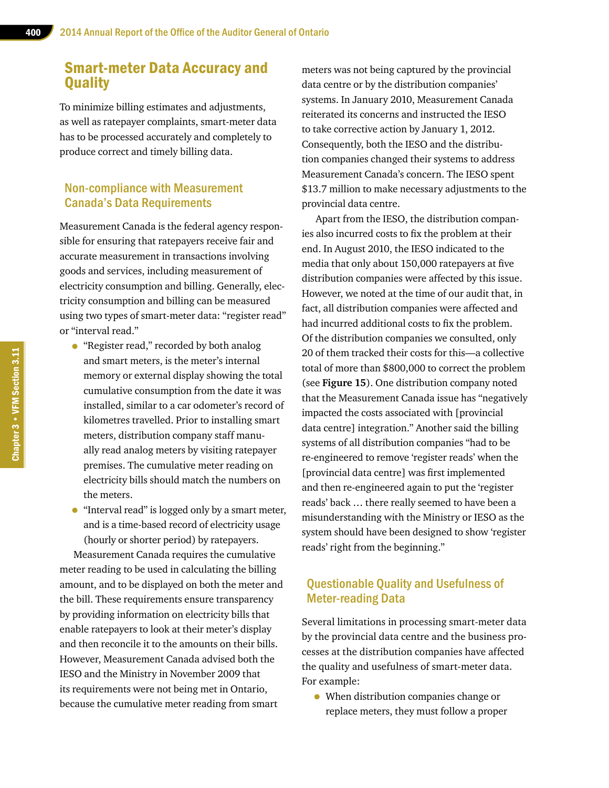# Smart-meter Data Accuracy and **Quality**

To minimize billing estimates and adjustments, as well as ratepayer complaints, smart-meter data has to be processed accurately and completely to produce correct and timely billing data.

#### Non-compliance with Measurement Canada's Data Requirements

Measurement Canada is the federal agency responsible for ensuring that ratepayers receive fair and accurate measurement in transactions involving goods and services, including measurement of electricity consumption and billing. Generally, electricity consumption and billing can be measured using two types of smart-meter data: "register read" or "interval read."

- "Register read," recorded by both analog and smart meters, is the meter's internal memory or external display showing the total cumulative consumption from the date it was installed, similar to a car odometer's record of kilometres travelled. Prior to installing smart meters, distribution company staff manually read analog meters by visiting ratepayer premises. The cumulative meter reading on electricity bills should match the numbers on the meters.
- "Interval read" is logged only by a smart meter, and is a time-based record of electricity usage (hourly or shorter period) by ratepayers.

Measurement Canada requires the cumulative meter reading to be used in calculating the billing amount, and to be displayed on both the meter and the bill. These requirements ensure transparency by providing information on electricity bills that enable ratepayers to look at their meter's display and then reconcile it to the amounts on their bills. However, Measurement Canada advised both the IESO and the Ministry in November 2009 that its requirements were not being met in Ontario, because the cumulative meter reading from smart

meters was not being captured by the provincial data centre or by the distribution companies' systems. In January 2010, Measurement Canada reiterated its concerns and instructed the IESO to take corrective action by January 1, 2012. Consequently, both the IESO and the distribution companies changed their systems to address Measurement Canada's concern. The IESO spent \$13.7 million to make necessary adjustments to the provincial data centre.

Apart from the IESO, the distribution companies also incurred costs to fix the problem at their end. In August 2010, the IESO indicated to the media that only about 150,000 ratepayers at five distribution companies were affected by this issue. However, we noted at the time of our audit that, in fact, all distribution companies were affected and had incurred additional costs to fix the problem. Of the distribution companies we consulted, only 20 of them tracked their costs for this—a collective total of more than \$800,000 to correct the problem (see **Figure 15**). One distribution company noted that the Measurement Canada issue has "negatively impacted the costs associated with [provincial data centre] integration." Another said the billing systems of all distribution companies "had to be re-engineered to remove 'register reads' when the [provincial data centre] was first implemented and then re-engineered again to put the 'register reads' back … there really seemed to have been a misunderstanding with the Ministry or IESO as the system should have been designed to show 'register reads' right from the beginning."

#### Questionable Quality and Usefulness of Meter-reading Data

Several limitations in processing smart-meter data by the provincial data centre and the business processes at the distribution companies have affected the quality and usefulness of smart-meter data. For example:

• When distribution companies change or replace meters, they must follow a proper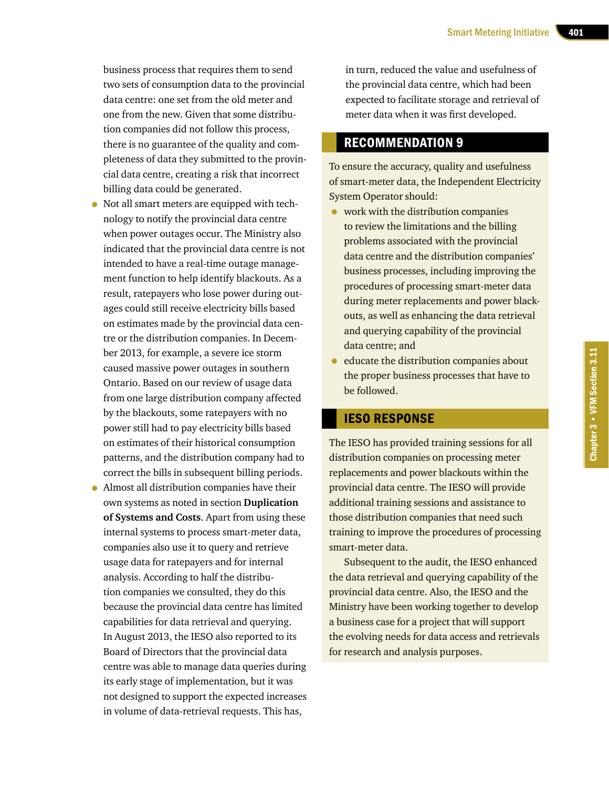business process that requires them to send two sets of consumption data to the provincial data centre: one set from the old meter and one from the new. Given that some distribution companies did not follow this process, there is no guarantee of the quality and completeness of data they submitted to the provincial data centre, creating a risk that incorrect billing data could be generated.

- Not all smart meters are equipped with technology to notify the provincial data centre when power outages occur. The Ministry also indicated that the provincial data centre is not intended to have a real-time outage management function to help identify blackouts. As a result, ratepayers who lose power during outages could still receive electricity bills based on estimates made by the provincial data centre or the distribution companies. In December 2013, for example, a severe ice storm caused massive power outages in southern Ontario. Based on our review of usage data from one large distribution company affected by the blackouts, some ratepayers with no power still had to pay electricity bills based on estimates of their historical consumption patterns, and the distribution company had to correct the bills in subsequent billing periods.
- Almost all distribution companies have their own systems as noted in section **Duplication of Systems and Costs**. Apart from using these internal systems to process smart-meter data, companies also use it to query and retrieve usage data for ratepayers and for internal analysis. According to half the distribution companies we consulted, they do this because the provincial data centre has limited capabilities for data retrieval and querying. In August 2013, the IESO also reported to its Board of Directors that the provincial data centre was able to manage data queries during its early stage of implementation, but it was not designed to support the expected increases in volume of data-retrieval requests. This has,

in turn, reduced the value and usefulness of the provincial data centre, which had been expected to facilitate storage and retrieval of meter data when it was first developed.

# RECOMMENDATION 9

To ensure the accuracy, quality and usefulness of smart-meter data, the Independent Electricity System Operator should:

- work with the distribution companies to review the limitations and the billing problems associated with the provincial data centre and the distribution companies' business processes, including improving the procedures of processing smart-meter data during meter replacements and power blackouts, as well as enhancing the data retrieval and querying capability of the provincial data centre; and
- educate the distribution companies about the proper business processes that have to be followed.

#### IESO RESPONSE

The IESO has provided training sessions for all distribution companies on processing meter replacements and power blackouts within the provincial data centre. The IESO will provide additional training sessions and assistance to those distribution companies that need such training to improve the procedures of processing smart-meter data.

Subsequent to the audit, the IESO enhanced the data retrieval and querying capability of the provincial data centre. Also, the IESO and the Ministry have been working together to develop a business case for a project that will support the evolving needs for data access and retrievals for research and analysis purposes.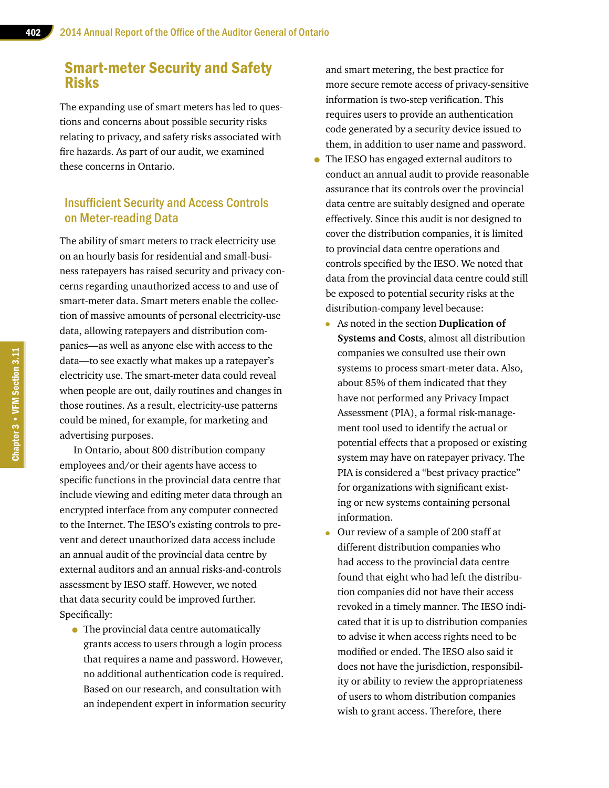# Smart-meter Security and Safety Risks

The expanding use of smart meters has led to questions and concerns about possible security risks relating to privacy, and safety risks associated with fire hazards. As part of our audit, we examined these concerns in Ontario.

#### Insufficient Security and Access Controls on Meter-reading Data

The ability of smart meters to track electricity use on an hourly basis for residential and small-business ratepayers has raised security and privacy concerns regarding unauthorized access to and use of smart-meter data. Smart meters enable the collection of massive amounts of personal electricity-use data, allowing ratepayers and distribution companies—as well as anyone else with access to the data—to see exactly what makes up a ratepayer's electricity use. The smart-meter data could reveal when people are out, daily routines and changes in those routines. As a result, electricity-use patterns could be mined, for example, for marketing and advertising purposes.

In Ontario, about 800 distribution company employees and/or their agents have access to specific functions in the provincial data centre that include viewing and editing meter data through an encrypted interface from any computer connected to the Internet. The IESO's existing controls to prevent and detect unauthorized data access include an annual audit of the provincial data centre by external auditors and an annual risks-and-controls assessment by IESO staff. However, we noted that data security could be improved further. Specifically:

• The provincial data centre automatically grants access to users through a login process that requires a name and password. However, no additional authentication code is required. Based on our research, and consultation with an independent expert in information security and smart metering, the best practice for more secure remote access of privacy-sensitive information is two-step verification. This requires users to provide an authentication code generated by a security device issued to them, in addition to user name and password.

- The IESO has engaged external auditors to conduct an annual audit to provide reasonable assurance that its controls over the provincial data centre are suitably designed and operate effectively. Since this audit is not designed to cover the distribution companies, it is limited to provincial data centre operations and controls specified by the IESO. We noted that data from the provincial data centre could still be exposed to potential security risks at the distribution-company level because:
	- As noted in the section **Duplication of Systems and Costs**, almost all distribution companies we consulted use their own systems to process smart-meter data. Also, about 85% of them indicated that they have not performed any Privacy Impact Assessment (PIA), a formal risk-management tool used to identify the actual or potential effects that a proposed or existing system may have on ratepayer privacy. The PIA is considered a "best privacy practice" for organizations with significant existing or new systems containing personal information.
	- Our review of a sample of 200 staff at different distribution companies who had access to the provincial data centre found that eight who had left the distribution companies did not have their access revoked in a timely manner. The IESO indicated that it is up to distribution companies to advise it when access rights need to be modified or ended. The IESO also said it does not have the jurisdiction, responsibility or ability to review the appropriateness of users to whom distribution companies wish to grant access. Therefore, there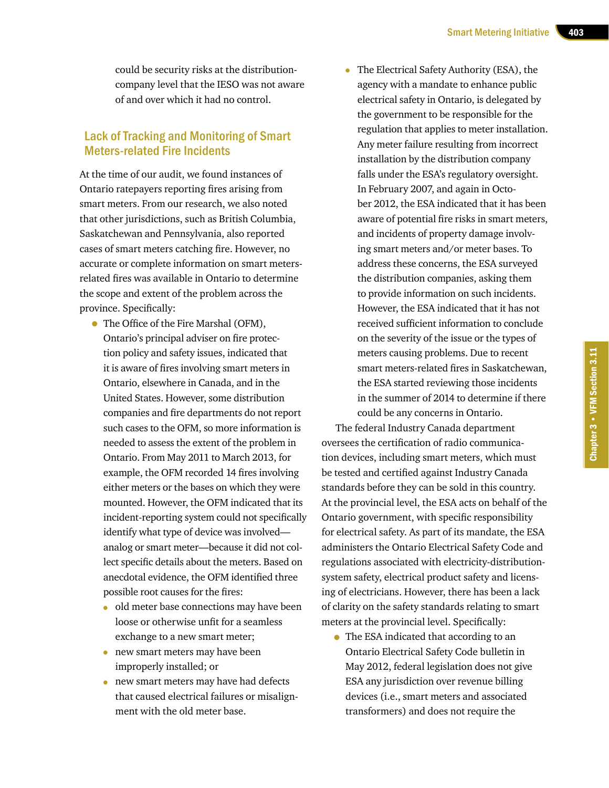could be security risks at the distributioncompany level that the IESO was not aware of and over which it had no control.

#### Lack of Tracking and Monitoring of Smart Meters-related Fire Incidents

At the time of our audit, we found instances of Ontario ratepayers reporting fires arising from smart meters. From our research, we also noted that other jurisdictions, such as British Columbia, Saskatchewan and Pennsylvania, also reported cases of smart meters catching fire. However, no accurate or complete information on smart metersrelated fires was available in Ontario to determine the scope and extent of the problem across the province. Specifically:

- The Office of the Fire Marshal (OFM), Ontario's principal adviser on fire protection policy and safety issues, indicated that it is aware of fires involving smart meters in Ontario, elsewhere in Canada, and in the United States. However, some distribution companies and fire departments do not report such cases to the OFM, so more information is needed to assess the extent of the problem in Ontario. From May 2011 to March 2013, for example, the OFM recorded 14 fires involving either meters or the bases on which they were mounted. However, the OFM indicated that its incident-reporting system could not specifically identify what type of device was involved analog or smart meter—because it did not collect specific details about the meters. Based on anecdotal evidence, the OFM identified three possible root causes for the fires:
	- old meter base connections may have been loose or otherwise unfit for a seamless exchange to a new smart meter;
	- new smart meters may have been improperly installed; or
	- new smart meters may have had defects that caused electrical failures or misalignment with the old meter base.

• The Electrical Safety Authority (ESA), the agency with a mandate to enhance public electrical safety in Ontario, is delegated by the government to be responsible for the regulation that applies to meter installation. Any meter failure resulting from incorrect installation by the distribution company falls under the ESA's regulatory oversight. In February 2007, and again in October 2012, the ESA indicated that it has been aware of potential fire risks in smart meters, and incidents of property damage involving smart meters and/or meter bases. To address these concerns, the ESA surveyed the distribution companies, asking them to provide information on such incidents. However, the ESA indicated that it has not received sufficient information to conclude on the severity of the issue or the types of meters causing problems. Due to recent smart meters-related fires in Saskatchewan, the ESA started reviewing those incidents in the summer of 2014 to determine if there could be any concerns in Ontario.

The federal Industry Canada department oversees the certification of radio communication devices, including smart meters, which must be tested and certified against Industry Canada standards before they can be sold in this country. At the provincial level, the ESA acts on behalf of the Ontario government, with specific responsibility for electrical safety. As part of its mandate, the ESA administers the Ontario Electrical Safety Code and regulations associated with electricity-distributionsystem safety, electrical product safety and licensing of electricians. However, there has been a lack of clarity on the safety standards relating to smart meters at the provincial level. Specifically:

• The ESA indicated that according to an Ontario Electrical Safety Code bulletin in May 2012, federal legislation does not give ESA any jurisdiction over revenue billing devices (i.e., smart meters and associated transformers) and does not require the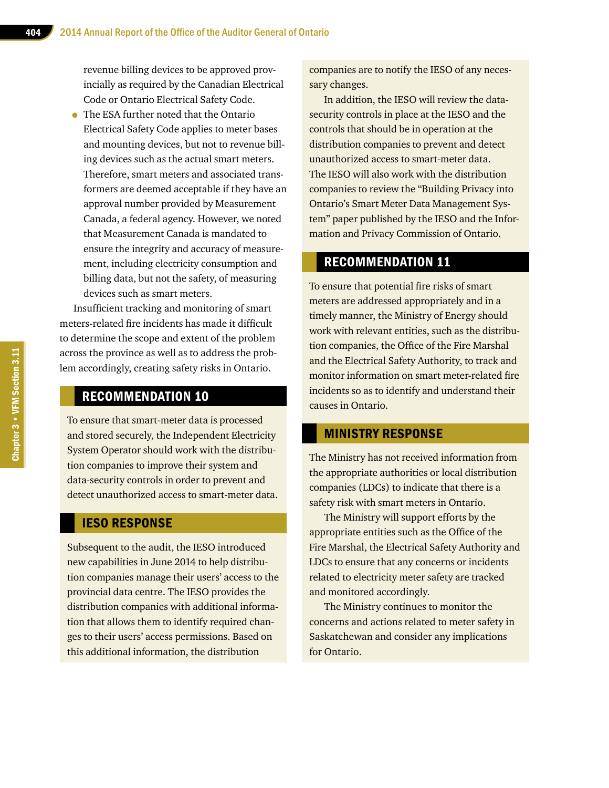revenue billing devices to be approved provincially as required by the Canadian Electrical Code or Ontario Electrical Safety Code.

• The ESA further noted that the Ontario Electrical Safety Code applies to meter bases and mounting devices, but not to revenue billing devices such as the actual smart meters. Therefore, smart meters and associated transformers are deemed acceptable if they have an approval number provided by Measurement Canada, a federal agency. However, we noted that Measurement Canada is mandated to ensure the integrity and accuracy of measurement, including electricity consumption and billing data, but not the safety, of measuring devices such as smart meters.

Insufficient tracking and monitoring of smart meters-related fire incidents has made it difficult to determine the scope and extent of the problem across the province as well as to address the problem accordingly, creating safety risks in Ontario.

# RECOMMENDATION 10

To ensure that smart-meter data is processed and stored securely, the Independent Electricity System Operator should work with the distribution companies to improve their system and data-security controls in order to prevent and detect unauthorized access to smart-meter data.

#### IESO RESPONSE

Subsequent to the audit, the IESO introduced new capabilities in June 2014 to help distribution companies manage their users' access to the provincial data centre. The IESO provides the distribution companies with additional information that allows them to identify required changes to their users' access permissions. Based on this additional information, the distribution

companies are to notify the IESO of any necessary changes.

In addition, the IESO will review the datasecurity controls in place at the IESO and the controls that should be in operation at the distribution companies to prevent and detect unauthorized access to smart-meter data. The IESO will also work with the distribution companies to review the "Building Privacy into Ontario's Smart Meter Data Management System" paper published by the IESO and the Information and Privacy Commission of Ontario.

## RECOMMENDATION 11

To ensure that potential fire risks of smart meters are addressed appropriately and in a timely manner, the Ministry of Energy should work with relevant entities, such as the distribution companies, the Office of the Fire Marshal and the Electrical Safety Authority, to track and monitor information on smart meter-related fire incidents so as to identify and understand their causes in Ontario.

# MINISTRY RESPONSE

The Ministry has not received information from the appropriate authorities or local distribution companies (LDCs) to indicate that there is a safety risk with smart meters in Ontario.

The Ministry will support efforts by the appropriate entities such as the Office of the Fire Marshal, the Electrical Safety Authority and LDCs to ensure that any concerns or incidents related to electricity meter safety are tracked and monitored accordingly.

The Ministry continues to monitor the concerns and actions related to meter safety in Saskatchewan and consider any implications for Ontario.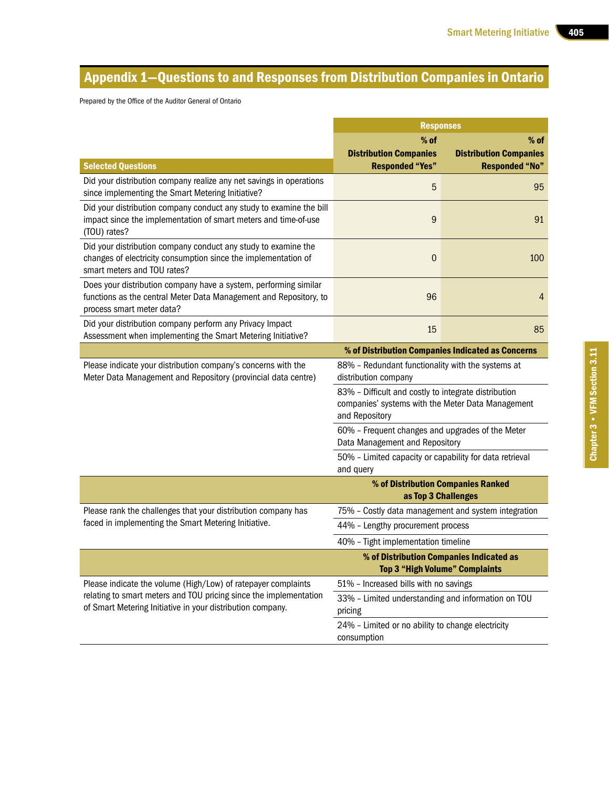# Appendix 1—Questions to and Responses from Distribution Companies in Ontario

Prepared by the Office of the Auditor General of Ontario

|                                                                                                                                                                    | <b>Responses</b>                                                                                                                                           |                               |  |
|--------------------------------------------------------------------------------------------------------------------------------------------------------------------|------------------------------------------------------------------------------------------------------------------------------------------------------------|-------------------------------|--|
|                                                                                                                                                                    | $%$ of                                                                                                                                                     |                               |  |
|                                                                                                                                                                    | <b>Distribution Companies</b>                                                                                                                              | <b>Distribution Companies</b> |  |
| <b>Selected Questions</b>                                                                                                                                          | <b>Responded "Yes"</b>                                                                                                                                     | <b>Responded "No"</b>         |  |
| Did your distribution company realize any net savings in operations<br>since implementing the Smart Metering Initiative?                                           | 5                                                                                                                                                          | 95                            |  |
| Did your distribution company conduct any study to examine the bill<br>impact since the implementation of smart meters and time-of-use<br>(TOU) rates?             | 9                                                                                                                                                          | 91                            |  |
| Did your distribution company conduct any study to examine the<br>changes of electricity consumption since the implementation of<br>smart meters and TOU rates?    | $\mathbf 0$                                                                                                                                                | 100                           |  |
| Does your distribution company have a system, performing similar<br>functions as the central Meter Data Management and Repository, to<br>process smart meter data? | 96                                                                                                                                                         | 4                             |  |
| Did your distribution company perform any Privacy Impact<br>Assessment when implementing the Smart Metering Initiative?                                            | 15                                                                                                                                                         | 85                            |  |
|                                                                                                                                                                    | % of Distribution Companies Indicated as Concerns                                                                                                          |                               |  |
| Please indicate your distribution company's concerns with the<br>Meter Data Management and Repository (provincial data centre)                                     | 88% - Redundant functionality with the systems at<br>distribution company                                                                                  |                               |  |
|                                                                                                                                                                    | 83% - Difficult and costly to integrate distribution<br>companies' systems with the Meter Data Management<br>and Repository                                |                               |  |
|                                                                                                                                                                    | 60% - Frequent changes and upgrades of the Meter<br>Data Management and Repository<br>50% - Limited capacity or capability for data retrieval<br>and query |                               |  |
|                                                                                                                                                                    |                                                                                                                                                            |                               |  |
|                                                                                                                                                                    | % of Distribution Companies Ranked                                                                                                                         |                               |  |
|                                                                                                                                                                    | as Top 3 Challenges                                                                                                                                        |                               |  |
| Please rank the challenges that your distribution company has<br>faced in implementing the Smart Metering Initiative.                                              | 75% - Costly data management and system integration                                                                                                        |                               |  |
|                                                                                                                                                                    | 44% - Lengthy procurement process                                                                                                                          |                               |  |
|                                                                                                                                                                    | 40% - Tight implementation timeline                                                                                                                        |                               |  |
|                                                                                                                                                                    | % of Distribution Companies Indicated as<br><b>Top 3 "High Volume" Complaints</b>                                                                          |                               |  |
| Please indicate the volume (High/Low) of ratepayer complaints                                                                                                      | 51% - Increased bills with no savings                                                                                                                      |                               |  |
| relating to smart meters and TOU pricing since the implementation<br>of Smart Metering Initiative in your distribution company.                                    | 33% - Limited understanding and information on TOU<br>pricing                                                                                              |                               |  |
|                                                                                                                                                                    | 24% - Limited or no ability to change electricity<br>consumption                                                                                           |                               |  |